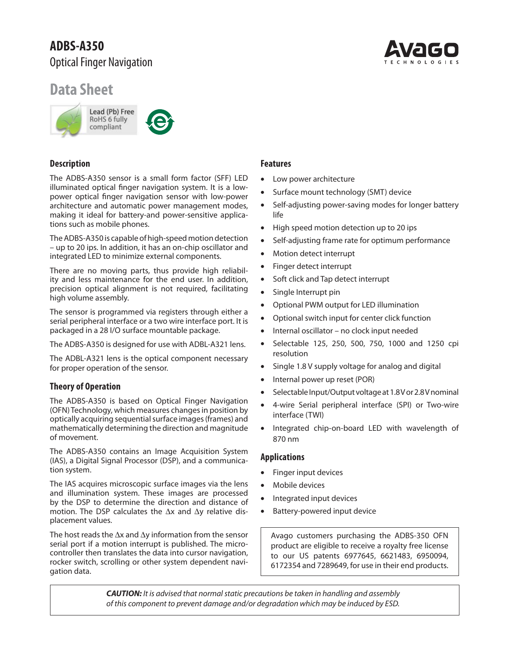# **ADBS-A350** Optical Finger Navigation

# **Data Sheet**



# **Description**

The ADBS-A350 sensor is a small form factor (SFF) LED illuminated optical finger navigation system. It is a lowpower optical finger navigation sensor with low-power architecture and automatic power management modes, making it ideal for battery-and power-sensitive applications such as mobile phones.

The ADBS-A350 is capable of high-speed motion detection – up to 20 ips. In addition, it has an on-chip oscillator and integrated LED to minimize external components.

There are no moving parts, thus provide high reliability and less maintenance for the end user. In addition, precision optical alignment is not required, facilitating high volume assembly.

The sensor is programmed via registers through either a serial peripheral interface or a two wire interface port. It is packaged in a 28 I/O surface mountable package.

The ADBS-A350 is designed for use with ADBL-A321 lens.

The ADBL-A321 lens is the optical component necessary for proper operation of the sensor.

# **Theory of Operation**

The ADBS-A350 is based on Optical Finger Navigation (OFN) Technology, which measures changes in position by optically acquiring sequential surface images (frames) and mathematically determining the direction and magnitude of movement.

The ADBS-A350 contains an Image Acquisition System (IAS), a Digital Signal Processor (DSP), and a communication system.

The IAS acquires microscopic surface images via the lens and illumination system. These images are processed by the DSP to determine the direction and distance of motion. The DSP calculates the  $\Delta x$  and  $\Delta y$  relative displacement values.

The host reads the  $\Delta x$  and  $\Delta y$  information from the sensor serial port if a motion interrupt is published. The microcontroller then translates the data into cursor navigation, rocker switch, scrolling or other system dependent navigation data.

# **Features**

- Low power architecture
- Surface mount technology (SMT) device
- Self-adjusting power-saving modes for longer battery life
- High speed motion detection up to 20 ips
- Self-adjusting frame rate for optimum performance
- Motion detect interrupt
- Finger detect interrupt
- Soft click and Tap detect interrupt
- Single Interrupt pin
- Optional PWM output for LED illumination
- Optional switch input for center click function
- Internal oscillator no clock input needed
- Selectable 125, 250, 500, 750, 1000 and 1250 cpi resolution
- Single 1.8 V supply voltage for analog and digital
- Internal power up reset (POR)
- Selectable Input/Output voltage at 1.8 V or 2.8 V nominal
- 4-wire Serial peripheral interface (SPI) or Two-wire interface (TWI)
- Integrated chip-on-board LED with wavelength of 870 nm

#### **Applications**

- Finger input devices
- Mobile devices
- Integrated input devices
- Battery-powered input device

Avago customers purchasing the ADBS-350 OFN product are eligible to receive a royalty free license to our US patents 6977645, 6621483, 6950094, 6172354 and 7289649, for use in their end products.

*CAUTION:* It is advised that normal static precautions be taken in handling and assembly of this component to prevent damage and/or degradation which may be induced by ESD.

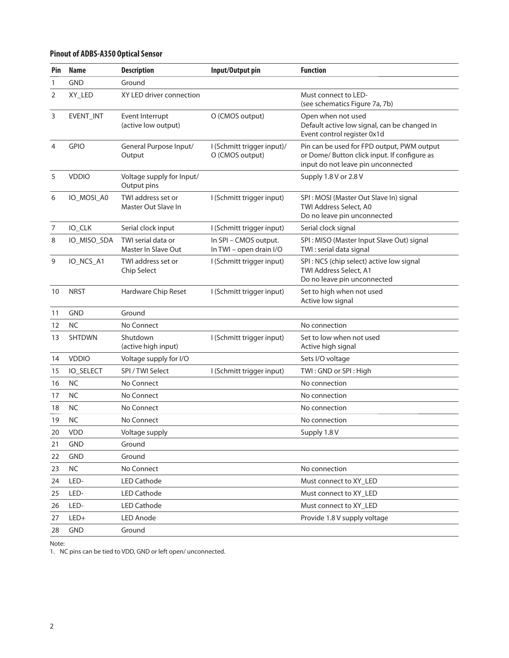# **Pinout of ADBS-A350 Optical Sensor**

| Pin | <b>Name</b>      | <b>Description</b>                        | Input/Output pin                                 | <b>Function</b>                                                                                                                  |
|-----|------------------|-------------------------------------------|--------------------------------------------------|----------------------------------------------------------------------------------------------------------------------------------|
| 1   | <b>GND</b>       | Ground                                    |                                                  |                                                                                                                                  |
| 2   | XY_LED           | XY LED driver connection                  |                                                  | Must connect to LED-<br>(see schematics Figure 7a, 7b)                                                                           |
| 3   | EVENT_INT        | Event Interrupt<br>(active low output)    | O (CMOS output)                                  | Open when not used<br>Default active low signal, can be changed in<br>Event control register 0x1d                                |
| 4   | <b>GPIO</b>      | General Purpose Input/<br>Output          | I (Schmitt trigger input)/<br>O (CMOS output)    | Pin can be used for FPD output, PWM output<br>or Dome/ Button click input. If configure as<br>input do not leave pin unconnected |
| 5   | <b>VDDIO</b>     | Voltage supply for Input/<br>Output pins  |                                                  | Supply 1.8 V or 2.8 V                                                                                                            |
| 6   | IO_MOSI_A0       | TWI address set or<br>Master Out Slave In | I (Schmitt trigger input)                        | SPI: MOSI (Master Out Slave In) signal<br>TWI Address Select, A0<br>Do no leave pin unconnected                                  |
| 7   | IO_CLK           | Serial clock input                        | I (Schmitt trigger input)                        | Serial clock signal                                                                                                              |
| 8   | IO_MISO_SDA      | TWI serial data or<br>Master In Slave Out | In SPI - CMOS output.<br>In TWI - open drain I/O | SPI: MISO (Master Input Slave Out) signal<br>TWI: serial data signal                                                             |
| 9   | IO_NCS_A1        | TWI address set or<br>Chip Select         | I (Schmitt trigger input)                        | SPI: NCS (chip select) active low signal<br>TWI Address Select, A1<br>Do no leave pin unconnected                                |
| 10  | <b>NRST</b>      | Hardware Chip Reset                       | I (Schmitt trigger input)                        | Set to high when not used<br>Active low signal                                                                                   |
| 11  | <b>GND</b>       | Ground                                    |                                                  |                                                                                                                                  |
| 12  | <b>NC</b>        | No Connect                                |                                                  | No connection                                                                                                                    |
| 13  | <b>SHTDWN</b>    | Shutdown<br>(active high input)           | I (Schmitt trigger input)                        | Set to low when not used<br>Active high signal                                                                                   |
| 14  | <b>VDDIO</b>     | Voltage supply for I/O                    |                                                  | Sets I/O voltage                                                                                                                 |
| 15  | <b>IO_SELECT</b> | SPI/TWI Select                            | I (Schmitt trigger input)                        | TWI: GND or SPI: High                                                                                                            |
| 16  | <b>NC</b>        | No Connect                                |                                                  | No connection                                                                                                                    |
| 17  | <b>NC</b>        | No Connect                                |                                                  | No connection                                                                                                                    |
| 18  | <b>NC</b>        | No Connect                                |                                                  | No connection                                                                                                                    |
| 19  | <b>NC</b>        | No Connect                                |                                                  | No connection                                                                                                                    |
| 20  | <b>VDD</b>       | Voltage supply                            |                                                  | Supply 1.8 V                                                                                                                     |
| 21  | <b>GND</b>       | Ground                                    |                                                  |                                                                                                                                  |
| 22  | <b>GND</b>       | Ground                                    |                                                  |                                                                                                                                  |
| 23  | <b>NC</b>        | No Connect                                |                                                  | No connection                                                                                                                    |
| 24  | LED-             | <b>LED Cathode</b>                        |                                                  | Must connect to XY_LED                                                                                                           |
| 25  | LED-             | <b>LED Cathode</b>                        |                                                  | Must connect to XY_LED                                                                                                           |
| 26  | LED-             | <b>LED Cathode</b>                        |                                                  | Must connect to XY_LED                                                                                                           |
| 27  | LED+             | <b>LED Anode</b>                          |                                                  | Provide 1.8 V supply voltage                                                                                                     |
| 28  | <b>GND</b>       | Ground                                    |                                                  |                                                                                                                                  |

Note:

1. NC pins can be tied to VDD, GND or left open/ unconnected.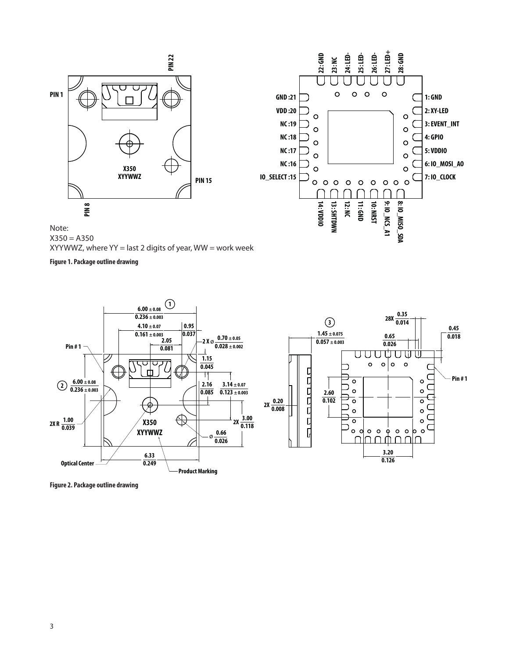



Note:  $X350 = A350$  $XYYWWZ$ , where  $YY =$  last 2 digits of year,  $WW =$  work week

**Figure 1. Package outline drawing**



**Figure 2. Package outline drawing**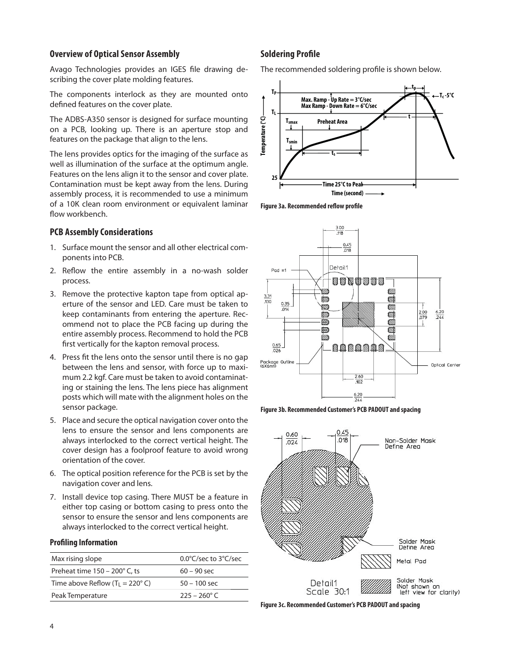#### **Overview of Optical Sensor Assembly**

Avago Technologies provides an IGES file drawing describing the cover plate molding features.

The components interlock as they are mounted onto defined features on the cover plate.

The ADBS-A350 sensor is designed for surface mounting on a PCB, looking up. There is an aperture stop and features on the package that align to the lens.

The lens provides optics for the imaging of the surface as well as illumination of the surface at the optimum angle. Features on the lens align it to the sensor and cover plate. Contamination must be kept away from the lens. During assembly process, it is recommended to use a minimum of a 10K clean room environment or equivalent laminar flow workbench.

#### **PCB Assembly Considerations**

- 1. Surface mount the sensor and all other electrical components into PCB.
- 2. Reflow the entire assembly in a no-wash solder process.
- 3. Remove the protective kapton tape from optical aperture of the sensor and LED. Care must be taken to keep contaminants from entering the aperture. Recommend not to place the PCB facing up during the entire assembly process. Recommend to hold the PCB first vertically for the kapton removal process.
- 4. Press fit the lens onto the sensor until there is no gap between the lens and sensor, with force up to maximum 2.2 kgf. Care must be taken to avoid contaminating or staining the lens. The lens piece has alignment posts which will mate with the alignment holes on the sensor package.
- 5. Place and secure the optical navigation cover onto the lens to ensure the sensor and lens components are always interlocked to the correct vertical height. The cover design has a foolproof feature to avoid wrong orientation of the cover.
- 6. The optical position reference for the PCB is set by the navigation cover and lens.
- 7. Install device top casing. There MUST be a feature in either top casing or bottom casing to press onto the sensor to ensure the sensor and lens components are always interlocked to the correct vertical height.

#### **Profiling Information**

| Max rising slope                        | $0.0^{\circ}$ C/sec to $3^{\circ}$ C/sec |
|-----------------------------------------|------------------------------------------|
| Preheat time $150 - 200^\circ$ C, ts    | $60 - 90$ sec                            |
| Time above Reflow $(T_1 = 220^\circ C)$ | $50 - 100$ sec                           |
| Peak Temperature                        | $225 - 260$ °C                           |

#### **Soldering Profile**

The recommended soldering profile is shown below.



**Figure 3a. Recommended reflow profile** 







**Figure 3c. Recommended Customer's PCB PADOUT and spacing**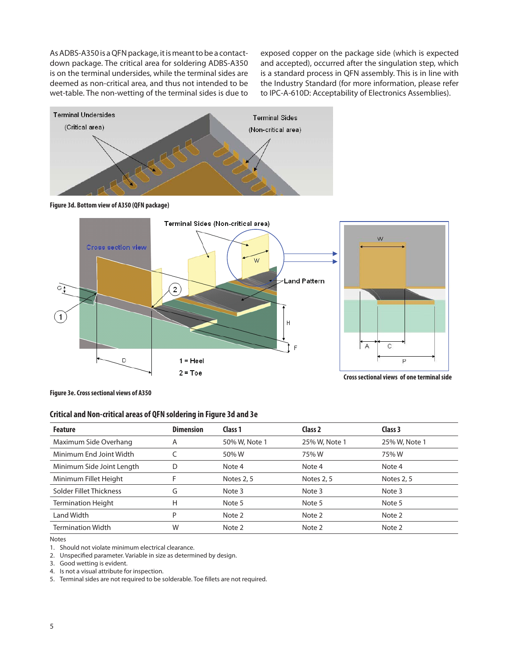As ADBS-A350 is a QFN package, it is meant to be a contactdown package. The critical area for soldering ADBS-A350 is on the terminal undersides, while the terminal sides are deemed as non-critical area, and thus not intended to be wet-table. The non-wetting of the terminal sides is due to exposed copper on the package side (which is expected and accepted), occurred after the singulation step, which is a standard process in QFN assembly. This is in line with the Industry Standard (for more information, please refer to IPC-A-610D: Acceptability of Electronics Assemblies).







**Figure 3e. Cross sectional views of A350**

#### **Critical and Non-critical areas of QFN soldering in Figure 3d and 3e**

| <b>Feature</b>            | <b>Dimension</b> | Class 1       | Class 2       | Class 3       |
|---------------------------|------------------|---------------|---------------|---------------|
| Maximum Side Overhang     | A                | 50% W, Note 1 | 25% W, Note 1 | 25% W, Note 1 |
| Minimum End Joint Width   |                  | 50% W         | 75% W         | 75% W         |
| Minimum Side Joint Length |                  | Note 4        | Note 4        | Note 4        |
| Minimum Fillet Height     | F                | Notes 2, 5    | Notes 2, 5    | Notes 2, 5    |
| Solder Fillet Thickness   | G                | Note 3        | Note 3        | Note 3        |
| <b>Termination Height</b> | Н                | Note 5        | Note 5        | Note 5        |
| Land Width                | P                | Note 2        | Note 2        | Note 2        |
| <b>Termination Width</b>  | W                | Note 2        | Note 2        | Note 2        |

Notes

1. Should not violate minimum electrical clearance.

2. Unspecified parameter. Variable in size as determined by design.

3. Good wetting is evident.

4. Is not a visual attribute for inspection.

5. Terminal sides are not required to be solderable. Toe fillets are not required.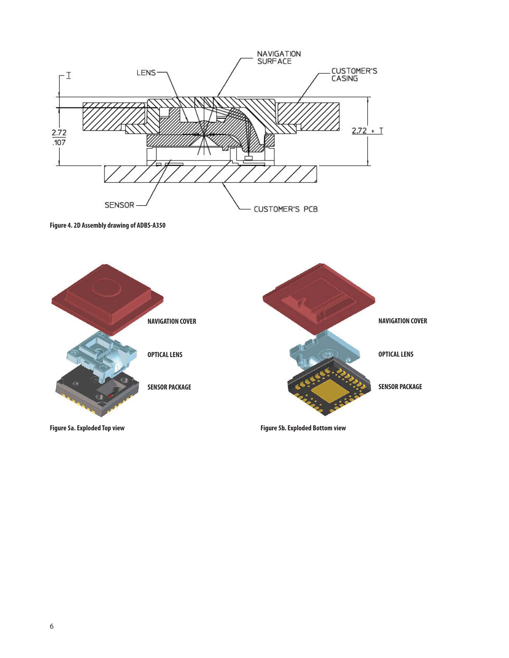

**Figure 4. 2D Assembly drawing of ADBS-A350**

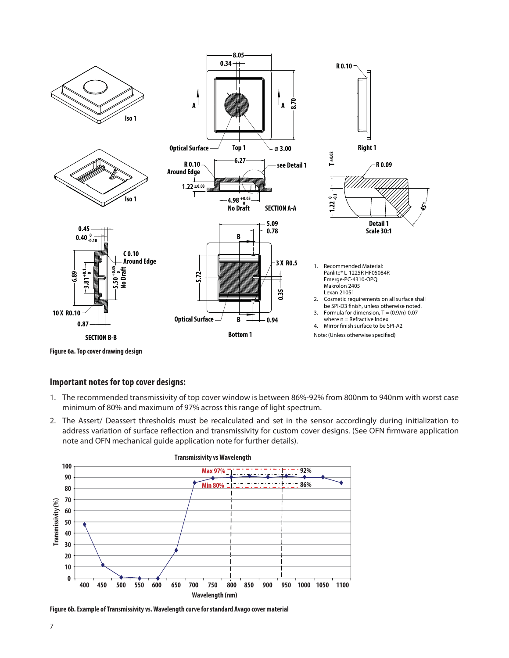

**Figure 6a. Top cover drawing design**

#### **Important notes for top cover designs:**

- 1. The recommended transmissivity of top cover window is between 86%-92% from 800nm to 940nm with worst case minimum of 80% and maximum of 97% across this range of light spectrum.
- 2. The Assert/ Deassert thresholds must be recalculated and set in the sensor accordingly during initialization to address variation of surface reflection and transmissivity for custom cover designs. (See OFN firmware application note and OFN mechanical guide application note for further details).





**Figure 6b. Example of Transmissivity vs. Wavelength curve for standard Avago cover material**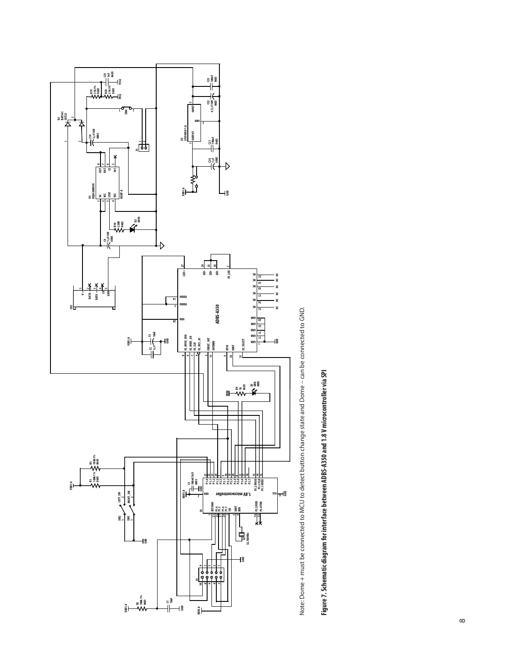

Note: Dome + must be connected to MCU to detect button change state and Dome - can be connected to GND. Note: Dome + must be connected to MCU to detect button change state and Dome – can be connected to GND.

Figure 7. Schematic diagram for interface between ADBS-A350 and 1.8 V microcontroller via SPI **Figure 7. Schematic diagram for interface between ADBS-A350 and 1.8 V microcontroller via SPI**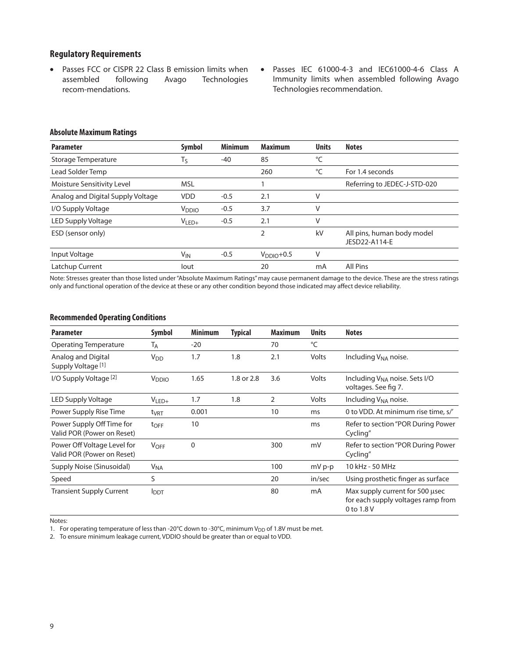#### **Regulatory Requirements**

- Passes FCC or CISPR 22 Class B emission limits when assembled following Avago Technologies recom-mendations.
- Passes IEC 61000-4-3 and IEC61000-4-6 Class A Immunity limits when assembled following Avago Technologies recommendation.

#### **Absolute Maximum Ratings**

| <b>Parameter</b>                  | <b>Symbol</b>     | <b>Minimum</b> | <b>Maximum</b> | <b>Units</b> | <b>Notes</b>                                |
|-----------------------------------|-------------------|----------------|----------------|--------------|---------------------------------------------|
| Storage Temperature               | Τs                | $-40$          | 85             | °C           |                                             |
| Lead Solder Temp                  |                   |                | 260            | °C           | For 1.4 seconds                             |
| Moisture Sensitivity Level        | <b>MSL</b>        |                |                |              | Referring to JEDEC-J-STD-020                |
| Analog and Digital Supply Voltage | <b>VDD</b>        | $-0.5$         | 2.1            |              |                                             |
| I/O Supply Voltage                | V <sub>DDIO</sub> | $-0.5$         | 3.7            | V            |                                             |
| LED Supply Voltage                | $V_{LED+}$        | $-0.5$         | 2.1            |              |                                             |
| ESD (sensor only)                 |                   |                | 2              | kV           | All pins, human body model<br>JESD22-A114-E |
| Input Voltage                     | V <sub>IN</sub>   | $-0.5$         | $VDDIO+0.5$    | V            |                                             |
| Latchup Current                   | lout              |                | 20             | mA           | All Pins                                    |

Note: Stresses greater than those listed under "Absolute Maximum Ratings" may cause permanent damage to the device. These are the stress ratings only and functional operation of the device at these or any other condition beyond those indicated may affect device reliability.

#### **Recommended Operating Conditions**

| <b>Parameter</b>                                          | Symbol                | <b>Minimum</b> | <b>Typical</b> | <b>Maximum</b> | <b>Units</b> | <b>Notes</b>                                                                        |
|-----------------------------------------------------------|-----------------------|----------------|----------------|----------------|--------------|-------------------------------------------------------------------------------------|
| <b>Operating Temperature</b>                              | Т <sub>А</sub>        | $-20$          |                | 70             | °C           |                                                                                     |
| Analog and Digital<br>Supply Voltage <sup>[1]</sup>       | <b>V<sub>DD</sub></b> | 1.7            | 1.8            | 2.1            | Volts        | Including V <sub>NA</sub> noise.                                                    |
| I/O Supply Voltage <sup>[2]</sup>                         | V <sub>DDIO</sub>     | 1.65           | 1.8 or 2.8     | 3.6            | Volts        | Including V <sub>NA</sub> noise. Sets I/O<br>voltages. See fig 7.                   |
| LED Supply Voltage                                        | $V_{LED+}$            | 1.7            | 1.8            | $\overline{2}$ | Volts        | Including V <sub>NA</sub> noise.                                                    |
| Power Supply Rise Time                                    | t <sub>VRT</sub>      | 0.001          |                | 10             | ms           | 0 to VDD. At minimum rise time, s/'                                                 |
| Power Supply Off Time for<br>Valid POR (Power on Reset)   | $t_{\text{OFF}}$      | 10             |                |                | ms           | Refer to section "POR During Power<br>Cycling"                                      |
| Power Off Voltage Level for<br>Valid POR (Power on Reset) | <b>VOFF</b>           | 0              |                | 300            | mV           | Refer to section "POR During Power<br>Cycling"                                      |
| Supply Noise (Sinusoidal)                                 | <b>V<sub>NA</sub></b> |                |                | 100            | $mV p-p$     | 10 kHz - 50 MHz                                                                     |
| Speed                                                     | S                     |                |                | 20             | in/sec       | Using prosthetic finger as surface                                                  |
| <b>Transient Supply Current</b>                           | <b>I</b> DDT          |                |                | 80             | mA           | Max supply current for 500 usec<br>for each supply voltages ramp from<br>0 to 1.8 V |

Notes:

1. For operating temperature of less than -20°C down to -30°C, minimum  $V_{DD}$  of 1.8V must be met.

2. To ensure minimum leakage current, VDDIO should be greater than or equal to VDD.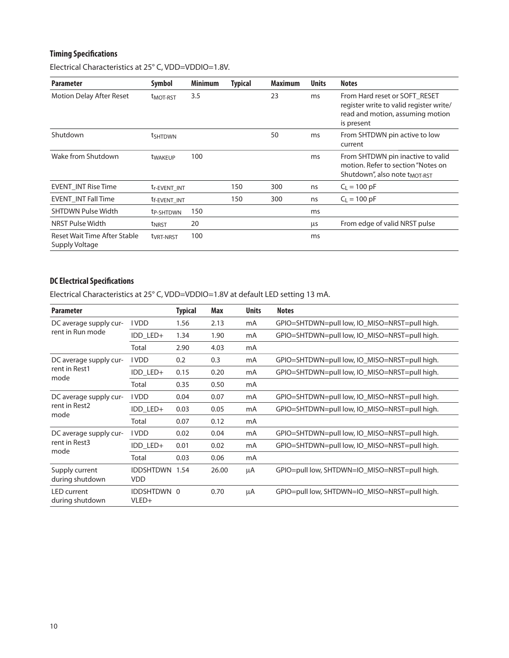# **Timing Specifications**

Electrical Characteristics at 25° C, VDD=VDDIO=1.8V.

| <b>Parameter</b>                               | <b>Symbol</b>            | <b>Minimum</b> | <b>Typical</b> | <b>Maximum</b> | <b>Units</b> | <b>Notes</b>                                                                                                               |
|------------------------------------------------|--------------------------|----------------|----------------|----------------|--------------|----------------------------------------------------------------------------------------------------------------------------|
| Motion Delay After Reset                       | <b>TMOT-RST</b>          | 3.5            |                | 23             | ms           | From Hard reset or SOFT RESET<br>register write to valid register write/<br>read and motion, assuming motion<br>is present |
| Shutdown                                       | <b>t</b> shtown          |                |                | 50             | ms           | From SHTDWN pin active to low<br>current                                                                                   |
| Wake from Shutdown                             | <b>t</b> WAKEUP          | 100            |                |                | ms           | From SHTDWN pin inactive to valid<br>motion. Refer to section "Notes on<br>Shutdown", also note t <sub>MOT-RST</sub>       |
| <b>EVENT INT Rise Time</b>                     | t <sub>r-EVENT</sub> INT |                | 150            | 300            | ns           | $C_1 = 100 pF$                                                                                                             |
| <b>EVENT INT Fall Time</b>                     | t <sub>f-EVENT</sub> INT |                | 150            | 300            | ns           | $C_1 = 100 pF$                                                                                                             |
| <b>SHTDWN Pulse Width</b>                      | t <sub>P-SHTDWN</sub>    | 150            |                |                | ms           |                                                                                                                            |
| NRST Pulse Width                               | t <sub>NRST</sub>        | 20             |                |                | μs           | From edge of valid NRST pulse                                                                                              |
| Reset Wait Time After Stable<br>Supply Voltage | t <sub>VRT-NRST</sub>    | 100            |                |                | ms           |                                                                                                                            |

# **DC Electrical Specifications**

Electrical Characteristics at 25° C, VDD=VDDIO=1.8V at default LED setting 13 mA.

| <b>Parameter</b>                        |                                | <b>Typical</b> | Max   | <b>Units</b> | <b>Notes</b>                                  |
|-----------------------------------------|--------------------------------|----------------|-------|--------------|-----------------------------------------------|
| DC average supply cur-                  | <b>IVDD</b>                    | 1.56           | 2.13  | mA           | GPIO=SHTDWN=pull low, IO_MISO=NRST=pull high. |
| rent in Run mode                        | IDD_LED+                       | 1.34           | 1.90  | mA           | GPIO=SHTDWN=pull low, IO_MISO=NRST=pull high. |
|                                         | Total                          | 2.90           | 4.03  | mA           |                                               |
| DC average supply cur-                  | <b>IVDD</b>                    | 0.2            | 0.3   | mA           | GPIO=SHTDWN=pull low, IO_MISO=NRST=pull high. |
| rent in Rest1<br>mode                   | IDD LED+                       | 0.15           | 0.20  | mA           | GPIO=SHTDWN=pull low, IO_MISO=NRST=pull high. |
|                                         | Total                          | 0.35           | 0.50  | mA           |                                               |
| DC average supply cur-<br>rent in Rest2 | <b>IVDD</b>                    | 0.04           | 0.07  | mA           | GPIO=SHTDWN=pull low, IO_MISO=NRST=pull high. |
|                                         | IDD LED+                       | 0.03           | 0.05  | mA           | GPIO=SHTDWN=pull low, IO_MISO=NRST=pull high. |
| mode                                    | Total                          | 0.07           | 0.12  | mA           |                                               |
| DC average supply cur-                  | <b>IVDD</b>                    | 0.02           | 0.04  | mA           | GPIO=SHTDWN=pull low, IO_MISO=NRST=pull high. |
| rent in Rest3<br>mode                   | IDD_LED+                       | 0.01           | 0.02  | mA           | GPIO=SHTDWN=pull low, IO MISO=NRST=pull high. |
|                                         | Total                          | 0.03           | 0.06  | mA           |                                               |
| Supply current<br>during shutdown       | <b>IDDSHTDWN</b><br><b>VDD</b> | 1.54           | 26.00 | μA           | GPIO=pull low, SHTDWN=IO_MISO=NRST=pull high. |
| <b>LED</b> current<br>during shutdown   | <b>IDDSHTDWN 0</b><br>VLED+    |                | 0.70  | μA           | GPIO=pull low, SHTDWN=IO MISO=NRST=pull high. |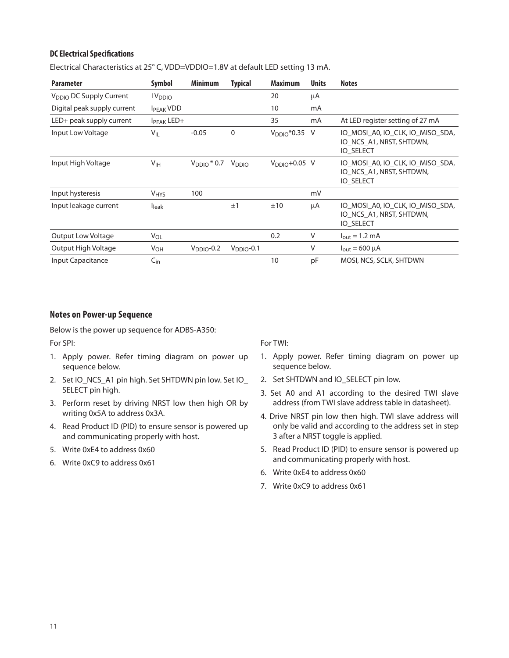#### **DC Electrical Specifications**

| <b>Parameter</b>                    | Symbol                 | <b>Minimum</b>            | <b>Typical</b>    | <b>Maximum</b>            | <b>Units</b> | <b>Notes</b>                                                                     |
|-------------------------------------|------------------------|---------------------------|-------------------|---------------------------|--------------|----------------------------------------------------------------------------------|
| V <sub>DDIO</sub> DC Supply Current | l V <sub>DDIO</sub>    |                           |                   | 20                        | μA           |                                                                                  |
| Digital peak supply current         | <b>IPFAK VDD</b>       |                           |                   | 10                        | mA           |                                                                                  |
| LED+ peak supply current            | I <sub>PEAK</sub> LED+ |                           |                   | 35                        | mA           | At LED register setting of 27 mA                                                 |
| Input Low Voltage                   | $V_{IL}$               | $-0.05$                   | $\mathbf 0$       | V <sub>DDIO</sub> *0.35 V |              | IO MOSI A0, IO CLK, IO MISO SDA,<br>IO NCS A1, NRST, SHTDWN,<br><b>IO SELECT</b> |
| Input High Voltage                  | V <sub>IH</sub>        | $V_{\text{DDIO}}$ $*$ 0.7 | V <sub>DDIO</sub> | $VDDIO+0.05$ V            |              | IO MOSI A0, IO CLK, IO MISO SDA,<br>IO NCS A1, NRST, SHTDWN,<br><b>IO SELECT</b> |
| Input hysteresis                    | <b>V<sub>HYS</sub></b> | 100                       |                   |                           | mV           |                                                                                  |
| Input leakage current               | <b>I</b> leak          |                           | ±1                | ±10                       | μA           | IO MOSI A0, IO CLK, IO MISO SDA,<br>IO_NCS_A1, NRST, SHTDWN,<br><b>IO SELECT</b> |
| <b>Output Low Voltage</b>           | V <sub>OL</sub>        |                           |                   | 0.2                       | V            | $I_{\text{out}} = 1.2 \text{ mA}$                                                |
| Output High Voltage                 | <b>V<sub>OH</sub></b>  | $VDDIO -0.2$              | $VDDIO$ -0.1      |                           | V            | $I_{\text{out}} = 600 \mu A$                                                     |
| Input Capacitance                   | $C_{\text{in}}$        |                           |                   | 10                        | pF           | MOSI, NCS, SCLK, SHTDWN                                                          |

Electrical Characteristics at 25° C, VDD=VDDIO=1.8V at default LED setting 13 mA.

#### **Notes on Power-up Sequence**

Below is the power up sequence for ADBS-A350:

For SPI:

- 1. Apply power. Refer timing diagram on power up sequence below.
- 2. Set IO\_NCS\_A1 pin high. Set SHTDWN pin low. Set IO SELECT pin high.
- 3. Perform reset by driving NRST low then high OR by writing 0x5A to address 0x3A.
- 4. Read Product ID (PID) to ensure sensor is powered up and communicating properly with host.
- 5. Write 0xE4 to address 0x60
- 6. Write 0xC9 to address 0x61

For TWI:

- 1. Apply power. Refer timing diagram on power up sequence below.
- 2. Set SHTDWN and IO\_SELECT pin low.
- 3. Set A0 and A1 according to the desired TWI slave address (from TWI slave address table in datasheet).
- 4. Drive NRST pin low then high. TWI slave address will only be valid and according to the address set in step 3 after a NRST toggle is applied.
- 5. Read Product ID (PID) to ensure sensor is powered up and communicating properly with host.
- 6. Write 0xE4 to address 0x60
- 7. Write 0xC9 to address 0x61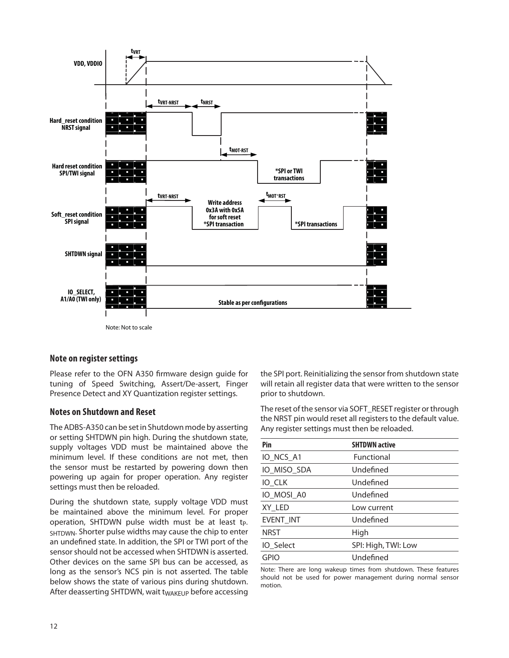

#### Note: Not to scale

#### **Note on register settings**

Please refer to the OFN A350 firmware design guide for tuning of Speed Switching, Assert/De-assert, Finger Presence Detect and XY Quantization register settings.

#### **Notes on Shutdown and Reset**

The ADBS-A350 can be set in Shutdown mode by asserting or setting SHTDWN pin high. During the shutdown state, supply voltages VDD must be maintained above the minimum level. If these conditions are not met, then the sensor must be restarted by powering down then powering up again for proper operation. Any register settings must then be reloaded.

During the shutdown state, supply voltage VDD must be maintained above the minimum level. For proper operation, SHTDWN pulse width must be at least tp-SHTDWN. Shorter pulse widths may cause the chip to enter an undefined state. In addition, the SPI or TWI port of the sensor should not be accessed when SHTDWN is asserted. Other devices on the same SPI bus can be accessed, as long as the sensor's NCS pin is not asserted. The table below shows the state of various pins during shutdown. After deasserting SHTDWN, wait t<sub>WAKFUP</sub> before accessing

the SPI port. Reinitializing the sensor from shutdown state will retain all register data that were written to the sensor prior to shutdown.

The reset of the sensor via SOFT\_RESET register or through the NRST pin would reset all registers to the default value. Any register settings must then be reloaded.

| Pin              | <b>SHTDWN active</b> |
|------------------|----------------------|
| IO_NCS_A1        | Functional           |
| IO_MISO_SDA      | Undefined            |
| IO CLK           | Undefined            |
| IO MOSI A0       | Undefined            |
| XY LED           | Low current          |
| <b>EVENT INT</b> | Undefined            |
| <b>NRST</b>      | High                 |
| IO Select        | SPI: High, TWI: Low  |
| <b>GPIO</b>      | Undefined            |

Note: There are long wakeup times from shutdown. These features should not be used for power management during normal sensor motion.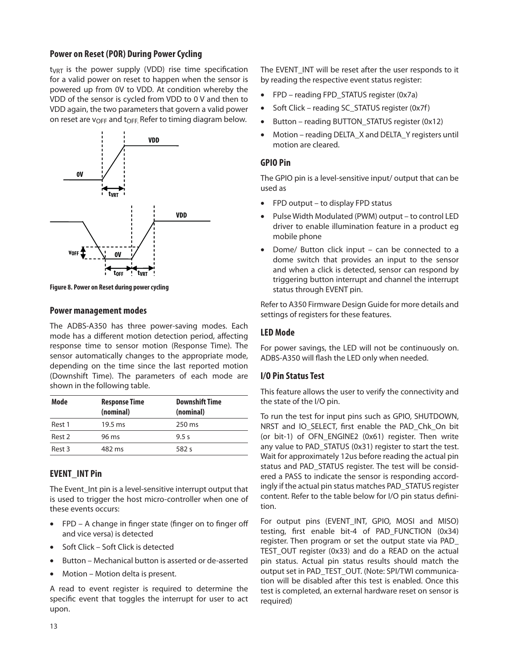#### **Power on Reset (POR) During Power Cycling**

 $t_{VRT}$  is the power supply (VDD) rise time specification for a valid power on reset to happen when the sensor is powered up from 0V to VDD. At condition whereby the VDD of the sensor is cycled from VDD to 0 V and then to VDD again, the two parameters that govern a valid power on reset are v<sub>OFF</sub> and t<sub>OFF</sub>. Refer to timing diagram below.



**Figure 8. Power on Reset during power cycling**

#### **Power management modes**

The ADBS-A350 has three power-saving modes. Each mode has a different motion detection period, affecting response time to sensor motion (Response Time). The sensor automatically changes to the appropriate mode, depending on the time since the last reported motion (Downshift Time). The parameters of each mode are shown in the following table.

| Mode   | <b>Response Time</b><br>(nominal) | <b>Downshift Time</b><br>(nominal) |
|--------|-----------------------------------|------------------------------------|
| Rest 1 | $19.5 \text{ ms}$                 | 250 ms                             |
| Rest 2 | 96 ms                             | 9.5 s                              |
| Rest 3 | 482 ms                            | 582 s                              |

# **EVENT\_INT Pin**

The Event Int pin is a level-sensitive interrupt output that is used to trigger the host micro-controller when one of these events occurs:

- $FPD A$  change in finger state (finger on to finger off and vice versa) is detected
- Soft Click Soft Click is detected
- Button Mechanical button is asserted or de-asserted
- Motion Motion delta is present.

A read to event register is required to determine the specific event that toggles the interrupt for user to act upon.

The EVENT INT will be reset after the user responds to it by reading the respective event status register:

- FPD reading FPD\_STATUS register (0x7a)
- Soft Click reading SC\_STATUS register (0x7f)
- Button reading BUTTON\_STATUS register (0x12)
- Motion reading DELTA\_X and DELTA\_Y registers until motion are cleared.

#### **GPIO Pin**

The GPIO pin is a level-sensitive input/ output that can be used as

- FPD output to display FPD status
- Pulse Width Modulated (PWM) output to control LED driver to enable illumination feature in a product eg mobile phone
- Dome/ Button click input can be connected to a dome switch that provides an input to the sensor and when a click is detected, sensor can respond by triggering button interrupt and channel the interrupt status through EVENT pin.

Refer to A350 Firmware Design Guide for more details and settings of registers for these features.

# **LED Mode**

For power savings, the LED will not be continuously on. ADBS-A350 will flash the LED only when needed.

# **I/O Pin Status Test**

This feature allows the user to verify the connectivity and the state of the I/O pin.

To run the test for input pins such as GPIO, SHUTDOWN, NRST and IO\_SELECT, first enable the PAD\_Chk\_On bit (or bit-1) of OFN\_ENGINE2 (0x61) register. Then write any value to PAD\_STATUS (0x31) register to start the test. Wait for approximately 12us before reading the actual pin status and PAD\_STATUS register. The test will be considered a PASS to indicate the sensor is responding accordingly if the actual pin status matches PAD\_STATUS register content. Refer to the table below for I/O pin status definition.

For output pins (EVENT\_INT, GPIO, MOSI and MISO) testing, first enable bit-4 of PAD FUNCTION (0x34) register. Then program or set the output state via PAD\_ TEST\_OUT register (0x33) and do a READ on the actual pin status. Actual pin status results should match the output set in PAD\_TEST\_OUT. (Note: SPI/TWI communication will be disabled after this test is enabled. Once this test is completed, an external hardware reset on sensor is required)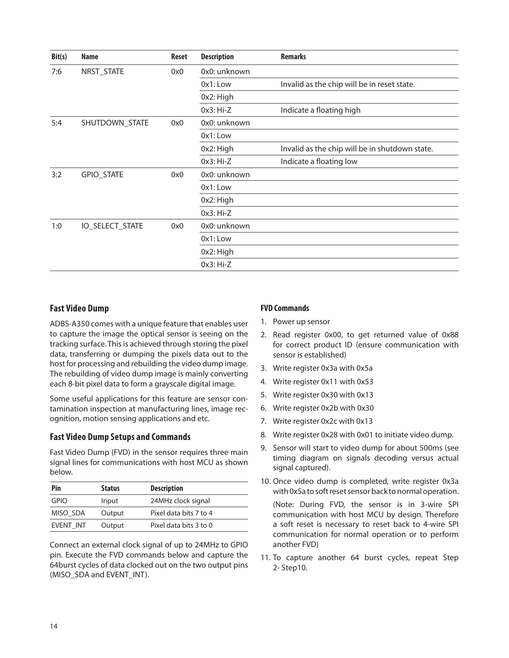| Bit(s) | <b>Name</b>     | Reset | <b>Description</b> | <b>Remarks</b>                                 |
|--------|-----------------|-------|--------------------|------------------------------------------------|
| 7:6    | NRST_STATE      | 0x0   | 0x0: unknown       |                                                |
|        |                 |       | $0x1:$ Low         | Invalid as the chip will be in reset state.    |
|        |                 |       | 0x2: High          |                                                |
|        |                 |       | $0x3:Hi-Z$         | Indicate a floating high                       |
| 5:4    | SHUTDOWN_STATE  | 0x0   | 0x0: unknown       |                                                |
|        |                 |       | $0x1:$ Low         |                                                |
|        |                 |       | 0x2: High          | Invalid as the chip will be in shutdown state. |
|        |                 |       | $0x3:Hi-Z$         | Indicate a floating low                        |
| 3:2    | GPIO_STATE      | 0x0   | 0x0: unknown       |                                                |
|        |                 |       | 0x1: Low           |                                                |
|        |                 |       | 0x2: High          |                                                |
|        |                 |       | $0x3:Hi-Z$         |                                                |
| 1:0    | IO_SELECT_STATE | 0x0   | 0x0: unknown       |                                                |
|        |                 |       | $0x1:$ Low         |                                                |
|        |                 |       | 0x2: High          |                                                |
|        |                 |       | $0x3:Hi-Z$         |                                                |

# **Fast Video Dump**

ADBS-A350 comes with a unique feature that enables user to capture the image the optical sensor is seeing on the tracking surface. This is achieved through storing the pixel data, transferring or dumping the pixels data out to the host for processing and rebuilding the video dump image. The rebuilding of video dump image is mainly converting each 8-bit pixel data to form a grayscale digital image.

Some useful applications for this feature are sensor contamination inspection at manufacturing lines, image recognition, motion sensing applications and etc.

#### **Fast Video Dump Setups and Commands**

Fast Video Dump (FVD) in the sensor requires three main signal lines for communications with host MCU as shown below.

| Pin       | <b>Status</b> | <b>Description</b>     |
|-----------|---------------|------------------------|
| GPIO      | Input         | 24MHz clock signal     |
| MISO SDA  | Output        | Pixel data bits 7 to 4 |
| EVENT INT | Output        | Pixel data bits 3 to 0 |

Connect an external clock signal of up to 24MHz to GPIO pin. Execute the FVD commands below and capture the 64burst cycles of data clocked out on the two output pins (MISO SDA and EVENT\_INT).

#### **FVD Commands**

- 1. Power up sensor
- 2. Read register 0x00, to get returned value of 0x88 for correct product ID (ensure communication with sensor is established)
- 3. Write register 0x3a with 0x5a
- 4. Write register 0x11 with 0x53
- 5. Write register 0x30 with 0x13
- 6. Write register 0x2b with 0x30
- 7. Write register 0x2c with 0x13
- 8. Write register 0x28 with 0x01 to initiate video dump.
- 9. Sensor will start to video dump for about 500ms (see timing diagram on signals decoding versus actual signal captured).
- 10. Once video dump is completed, write register 0x3a with 0x5a to soft reset sensor back to normal operation.

 (Note: During FVD, the sensor is in 3-wire SPI communication with host MCU by design. Therefore a soft reset is necessary to reset back to 4-wire SPI communication for normal operation or to perform another FVD)

11. To capture another 64 burst cycles, repeat Step 2- Step10.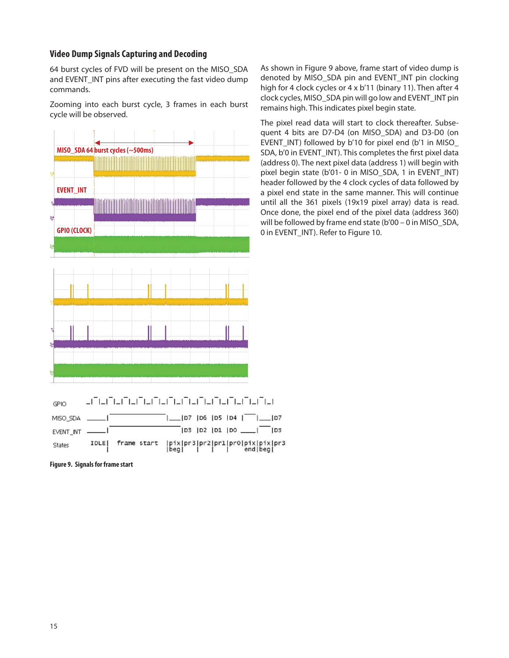### **Video Dump Signals Capturing and Decoding**

64 burst cycles of FVD will be present on the MISO\_SDA and EVENT\_INT pins after executing the fast video dump commands.

Zooming into each burst cycle, 3 frames in each burst cycle will be observed.



**Figure 9. Signals for frame start**

**States** 

IDLE|

frame start

As shown in Figure 9 above, frame start of video dump is denoted by MISO\_SDA pin and EVENT\_INT pin clocking high for 4 clock cycles or 4 x b'11 (binary 11). Then after 4 clock cycles, MISO\_SDA pin will go low and EVENT\_INT pin remains high. This indicates pixel begin state.

The pixel read data will start to clock thereafter. Subsequent 4 bits are D7-D4 (on MISO\_SDA) and D3-D0 (on EVENT\_INT) followed by b'10 for pixel end (b'1 in MISO SDA, b'0 in EVENT INT). This completes the first pixel data (address 0). The next pixel data (address 1) will begin with pixel begin state (b'01- 0 in MISO SDA, 1 in EVENT\_INT) header followed by the 4 clock cycles of data followed by a pixel end state in the same manner. This will continue until all the 361 pixels (19x19 pixel array) data is read. Once done, the pixel end of the pixel data (address 360) will be followed by frame end state (b'00 – 0 in MISO\_SDA, 0 in EVENT\_INT). Refer to Figure 10.

 $103$ 

|pix|pr3|pr2|pr1|pr0|pix|pix|pr3<br>|beg| | | | end|beg|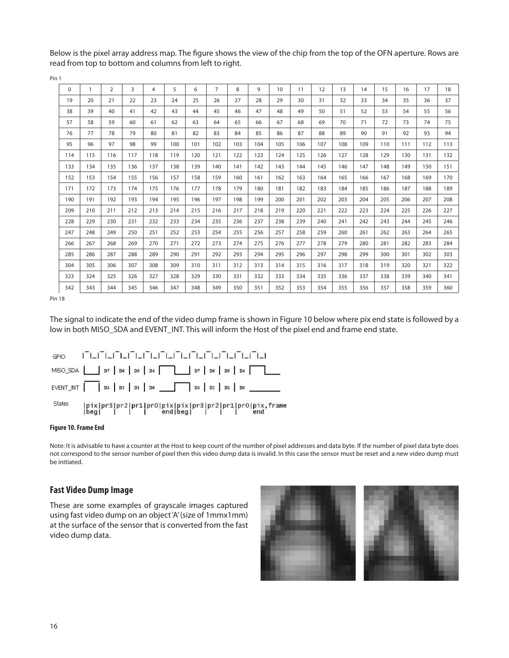Below is the pixel array address map. The figure shows the view of the chip from the top of the OFN aperture. Rows are read from top to bottom and columns from left to right.

| 0   | 1   | $\overline{2}$ | 3   | 4   | 5   | 6   | $\overline{7}$ | 8   | 9   | 10  | 11  | 12  | 13  | 14  | 15  | 16  | 17  | 18  |
|-----|-----|----------------|-----|-----|-----|-----|----------------|-----|-----|-----|-----|-----|-----|-----|-----|-----|-----|-----|
| 19  | 20  | 21             | 22  | 23  | 24  | 25  | 26             | 27  | 28  | 29  | 30  | 31  | 32  | 33  | 34  | 35  | 36  | 37  |
| 38  | 39  | 40             | 41  | 42  | 43  | 44  | 45             | 46  | 47  | 48  | 49  | 50  | 51  | 52  | 53  | 54  | 55  | 56  |
| 57  | 58  | 59             | 60  | 61  | 62  | 63  | 64             | 65  | 66  | 67  | 68  | 69  | 70  | 71  | 72  | 73  | 74  | 75  |
| 76  | 77  | 78             | 79  | 80  | 81  | 82  | 83             | 84  | 85  | 86  | 87  | 88  | 89  | 90  | 91  | 92  | 93  | 94  |
| 95  | 96  | 97             | 98  | 99  | 100 | 101 | 102            | 103 | 104 | 105 | 106 | 107 | 108 | 109 | 110 | 111 | 112 | 113 |
| 114 | 115 | 116            | 117 | 118 | 119 | 120 | 121            | 122 | 123 | 124 | 125 | 126 | 127 | 128 | 129 | 130 | 131 | 132 |
| 133 | 134 | 135            | 136 | 137 | 138 | 139 | 140            | 141 | 142 | 143 | 144 | 145 | 146 | 147 | 148 | 149 | 150 | 151 |
| 152 | 153 | 154            | 155 | 156 | 157 | 158 | 159            | 160 | 161 | 162 | 163 | 164 | 165 | 166 | 167 | 168 | 169 | 170 |
| 171 | 172 | 173            | 174 | 175 | 176 | 177 | 178            | 179 | 180 | 181 | 182 | 183 | 184 | 185 | 186 | 187 | 188 | 189 |
| 190 | 191 | 192            | 193 | 194 | 195 | 196 | 197            | 198 | 199 | 200 | 201 | 202 | 203 | 204 | 205 | 206 | 207 | 208 |
| 209 | 210 | 211            | 212 | 213 | 214 | 215 | 216            | 217 | 218 | 219 | 220 | 221 | 222 | 223 | 224 | 225 | 226 | 227 |
| 228 | 229 | 230            | 231 | 232 | 233 | 234 | 235            | 236 | 237 | 238 | 239 | 240 | 241 | 242 | 243 | 244 | 245 | 246 |
| 247 | 248 | 249            | 250 | 251 | 252 | 253 | 254            | 255 | 256 | 257 | 258 | 259 | 260 | 261 | 262 | 263 | 264 | 265 |
| 266 | 267 | 268            | 269 | 270 | 271 | 272 | 273            | 274 | 275 | 276 | 277 | 278 | 279 | 280 | 281 | 282 | 283 | 284 |
| 285 | 286 | 287            | 288 | 289 | 290 | 291 | 292            | 293 | 294 | 295 | 296 | 297 | 298 | 299 | 300 | 301 | 302 | 303 |
| 304 | 305 | 306            | 307 | 308 | 309 | 310 | 311            | 312 | 313 | 314 | 315 | 316 | 317 | 318 | 319 | 320 | 321 | 322 |
| 323 | 324 | 325            | 326 | 327 | 328 | 329 | 330            | 331 | 332 | 333 | 334 | 335 | 336 | 337 | 338 | 339 | 340 | 341 |
| 342 | 343 | 344            | 345 | 346 | 347 | 348 | 349            | 350 | 351 | 352 | 353 | 354 | 355 | 356 | 357 | 358 | 359 | 360 |

Pin 1

Pin 18

The signal to indicate the end of the video dump frame is shown in Figure 10 below where pix end state is followed by a low in both MISO\_SDA and EVENT\_INT. This will inform the Host of the pixel end and frame end state.



#### **Figure 10. Frame End**

Note: It is advisable to have a counter at the Host to keep count of the number of pixel addresses and data byte. If the number of pixel data byte does not correspond to the sensor number of pixel then this video dump data is invalid. In this case the sensor must be reset and a new video dump must be initiated.

#### **Fast Video Dump Image**

These are some examples of grayscale images captured using fast video dump on an object 'A' (size of 1mmx1mm) at the surface of the sensor that is converted from the fast video dump data.

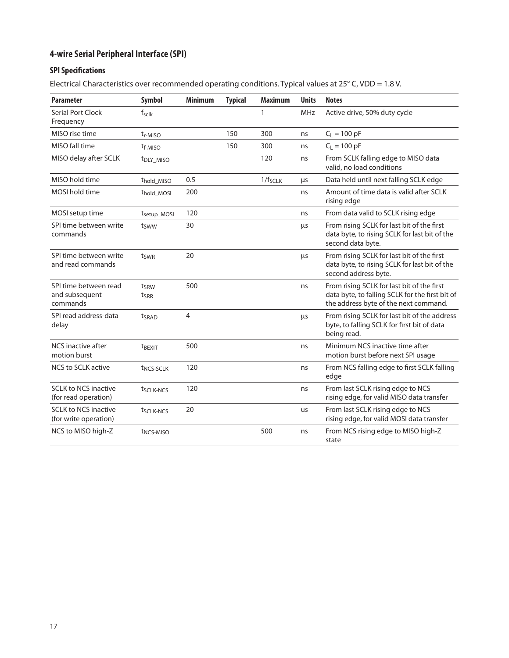# **4-wire Serial Peripheral Interface (SPI)**

# **SPI Specifications**

Electrical Characteristics over recommended operating conditions. Typical values at 25° C, VDD = 1.8 V.

| <b>Parameter</b>                                     | <b>Symbol</b>            | <b>Minimum</b> | <b>Typical</b> | <b>Maximum</b> | <b>Units</b> | <b>Notes</b>                                                                                                                           |
|------------------------------------------------------|--------------------------|----------------|----------------|----------------|--------------|----------------------------------------------------------------------------------------------------------------------------------------|
| Serial Port Clock<br>Frequency                       | f <sub>sclk</sub>        |                |                | 1              | <b>MHz</b>   | Active drive, 50% duty cycle                                                                                                           |
| MISO rise time                                       | t <sub>r-MISO</sub>      |                | 150            | 300            | ns           | $C_L = 100 pF$                                                                                                                         |
| MISO fall time                                       | t <sub>f-MISO</sub>      |                | 150            | 300            | ns           | $C_L = 100 pF$                                                                                                                         |
| MISO delay after SCLK                                | t <sub>DLY_MISO</sub>    |                |                | 120            | ns           | From SCLK falling edge to MISO data<br>valid, no load conditions                                                                       |
| MISO hold time                                       | t <sub>hold</sub> MISO   | 0.5            |                | $1/f_{SCLK}$   | μs           | Data held until next falling SCLK edge                                                                                                 |
| MOSI hold time                                       | thold_MOSI               | 200            |                |                | ns           | Amount of time data is valid after SCLK<br>rising edge                                                                                 |
| MOSI setup time                                      | t <sub>setup_MOSI</sub>  | 120            |                |                | ns           | From data valid to SCLK rising edge                                                                                                    |
| SPI time between write<br>commands                   | tsww                     | 30             |                |                | μs           | From rising SCLK for last bit of the first<br>data byte, to rising SCLK for last bit of the<br>second data byte.                       |
| SPI time between write<br>and read commands          | tswr                     | 20             |                |                | μs           | From rising SCLK for last bit of the first<br>data byte, to rising SCLK for last bit of the<br>second address byte.                    |
| SPI time between read<br>and subsequent<br>commands  | tsRW<br>ts <sub>RR</sub> | 500            |                |                | ns           | From rising SCLK for last bit of the first<br>data byte, to falling SCLK for the first bit of<br>the address byte of the next command. |
| SPI read address-data<br>delay                       | tsrad                    | $\overline{4}$ |                |                | μs           | From rising SCLK for last bit of the address<br>byte, to falling SCLK for first bit of data<br>being read.                             |
| NCS inactive after<br>motion burst                   | t <sub>BEXIT</sub>       | 500            |                |                | ns           | Minimum NCS inactive time after<br>motion burst before next SPI usage                                                                  |
| <b>NCS to SCLK active</b>                            | t <sub>NCS-SCLK</sub>    | 120            |                |                | ns           | From NCS falling edge to first SCLK falling<br>edge                                                                                    |
| <b>SCLK to NCS inactive</b><br>(for read operation)  | t <sub>SCLK-NCS</sub>    | 120            |                |                | ns           | From last SCLK rising edge to NCS<br>rising edge, for valid MISO data transfer                                                         |
| <b>SCLK to NCS inactive</b><br>(for write operation) | t <sub>SCLK-NCS</sub>    | 20             |                |                | us           | From last SCLK rising edge to NCS<br>rising edge, for valid MOSI data transfer                                                         |
| NCS to MISO high-Z                                   | t <sub>NCS-MISO</sub>    |                |                | 500            | ns           | From NCS rising edge to MISO high-Z<br>state                                                                                           |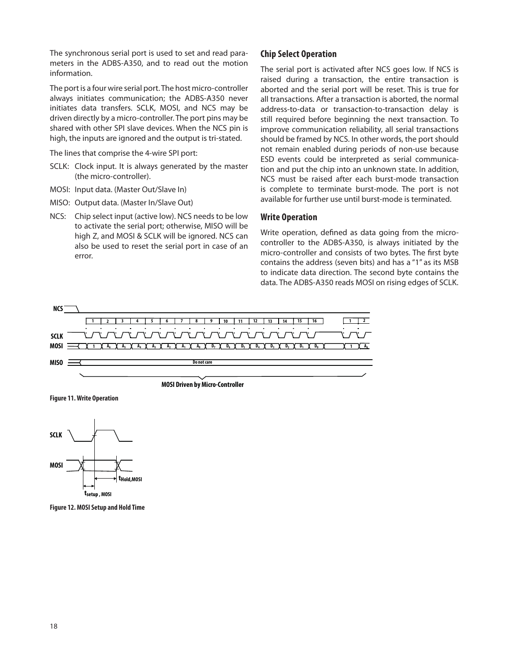The synchronous serial port is used to set and read parameters in the ADBS-A350, and to read out the motion information.

The port is a four wire serial port. The host micro-controller always initiates communication; the ADBS-A350 never initiates data transfers. SCLK, MOSI, and NCS may be driven directly by a micro-controller. The port pins may be shared with other SPI slave devices. When the NCS pin is high, the inputs are ignored and the output is tri-stated.

The lines that comprise the 4-wire SPI port:

- SCLK: Clock input. It is always generated by the master (the micro-controller).
- MOSI: Input data. (Master Out/Slave In)
- MISO: Output data. (Master In/Slave Out)
- NCS: Chip select input (active low). NCS needs to be low to activate the serial port; otherwise, MISO will be high Z, and MOSI & SCLK will be ignored. NCS can also be used to reset the serial port in case of an error.

#### **Chip Select Operation**

The serial port is activated after NCS goes low. If NCS is raised during a transaction, the entire transaction is aborted and the serial port will be reset. This is true for all transactions. After a transaction is aborted, the normal address-to-data or transaction-to-transaction delay is still required before beginning the next transaction. To improve communication reliability, all serial transactions should be framed by NCS. In other words, the port should not remain enabled during periods of non-use because ESD events could be interpreted as serial communication and put the chip into an unknown state. In addition, NCS must be raised after each burst-mode transaction is complete to terminate burst-mode. The port is not available for further use until burst-mode is terminated.

#### **Write Operation**

Write operation, defined as data going from the microcontroller to the ADBS-A350, is always initiated by the micro-controller and consists of two bytes. The first byte contains the address (seven bits) and has a "1" as its MSB to indicate data direction. The second byte contains the data. The ADBS-A350 reads MOSI on rising edges of SCLK.



**MOSI Driven by Micro-Controller**



**Figure 11. Write Operation**



**Figure 12. MOSI Setup and Hold Time**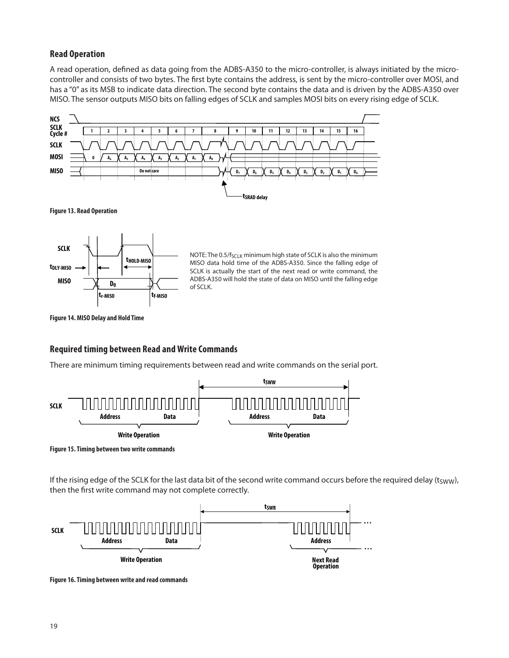# **Read Operation**

A read operation, defined as data going from the ADBS-A350 to the micro-controller, is always initiated by the microcontroller and consists of two bytes. The first byte contains the address, is sent by the micro-controller over MOSI, and has a "0" as its MSB to indicate data direction. The second byte contains the data and is driven by the ADBS-A350 over MISO. The sensor outputs MISO bits on falling edges of SCLK and samples MOSI bits on every rising edge of SCLK.



#### **Required timing between Read and Write Commands**

There are minimum timing requirements between read and write commands on the serial port.



**Figure 15. Timing between two write commands**

If the rising edge of the SCLK for the last data bit of the second write command occurs before the required delay (tsww), then the first write command may not complete correctly.



**Figure 16. Timing between write and read commands**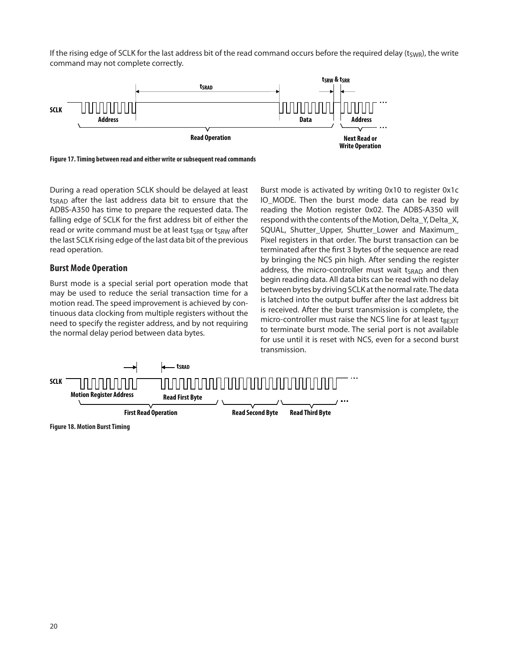If the rising edge of SCLK for the last address bit of the read command occurs before the required delay ( $t_{SWR}$ ), the write command may not complete correctly.



**Figure 17. Timing between read and either write or subsequent read commands**

During a read operation SCLK should be delayed at least t<sub>SRAD</sub> after the last address data bit to ensure that the ADBS-A350 has time to prepare the requested data. The falling edge of SCLK for the first address bit of either the read or write command must be at least  $t_{SRR}$  or  $t_{SRW}$  after the last SCLK rising edge of the last data bit of the previous read operation.

#### **Burst Mode Operation**

Burst mode is a special serial port operation mode that may be used to reduce the serial transaction time for a motion read. The speed improvement is achieved by continuous data clocking from multiple registers without the need to specify the register address, and by not requiring the normal delay period between data bytes.

Burst mode is activated by writing 0x10 to register 0x1c IO\_MODE. Then the burst mode data can be read by reading the Motion register 0x02. The ADBS-A350 will respond with the contents of the Motion, Delta\_Y, Delta\_X, SQUAL, Shutter Upper, Shutter Lower and Maximum Pixel registers in that order. The burst transaction can be terminated after the first 3 bytes of the sequence are read by bringing the NCS pin high. After sending the register address, the micro-controller must wait  $t_{SRAD}$  and then begin reading data. All data bits can be read with no delay between bytes by driving SCLK at the normal rate. The data is latched into the output buffer after the last address bit is received. After the burst transmission is complete, the micro-controller must raise the NCS line for at least  $t_{BEXIT}$ to terminate burst mode. The serial port is not available for use until it is reset with NCS, even for a second burst transmission.



**Figure 18. Motion Burst Timing**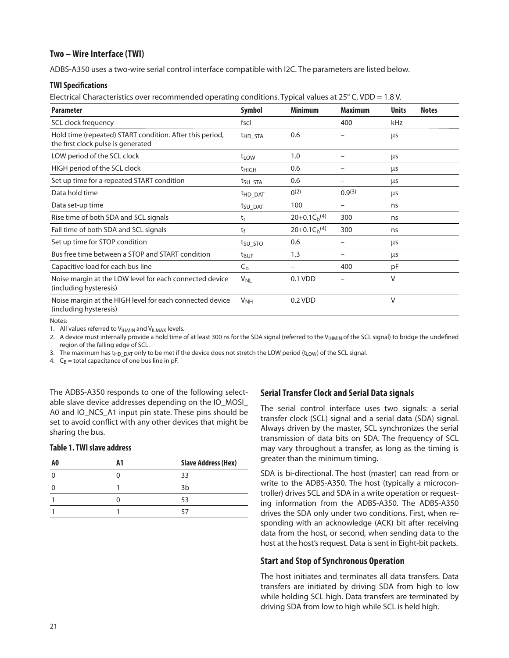### **Two – Wire Interface (TWI)**

ADBS-A350 uses a two-wire serial control interface compatible with I2C. The parameters are listed below.

#### **TWI Specifi cations**

Electrical Characteristics over recommended operating conditions. Typical values at 25° C, VDD = 1.8 V.

| <b>Parameter</b>                                                                               | <b>Symbol</b>         | <b>Minimum</b>    | <b>Maximum</b> | <b>Units</b> | <b>Notes</b> |
|------------------------------------------------------------------------------------------------|-----------------------|-------------------|----------------|--------------|--------------|
| SCL clock frequency                                                                            | fscl                  |                   | 400            | kHz          |              |
| Hold time (repeated) START condition. After this period,<br>the first clock pulse is generated | THD STA               | 0.6               |                | <b>LLS</b>   |              |
| LOW period of the SCL clock                                                                    | $t_{LOW}$             | 1.0               |                | μs           |              |
| HIGH period of the SCL clock                                                                   | <sup>t</sup> HIGH     | 0.6               |                | μs           |              |
| Set up time for a repeated START condition                                                     | t <sub>SU_STA</sub>   | 0.6               |                | μs           |              |
| Data hold time                                                                                 | <b>thd DAT</b>        | $0^{(2)}$         | 0.9(3)         | μs           |              |
| Data set-up time                                                                               | t <sub>SU_DAT</sub>   | 100               | -              | ns           |              |
| Rise time of both SDA and SCL signals                                                          | tr                    | $20+0.1C_b(4)$    | 300            | ns           |              |
| Fall time of both SDA and SCL signals                                                          | tf                    | $20+0.1C_h^{(4)}$ | 300            | ns           |              |
| Set up time for STOP condition                                                                 | t <sub>SU_STO</sub>   | 0.6               |                | μs           |              |
| Bus free time between a STOP and START condition                                               | t <sub>BUF</sub>      | 1.3               |                | μs           |              |
| Capacitive load for each bus line                                                              | $C_{b}$               |                   | 400            | рF           |              |
| Noise margin at the LOW level for each connected device<br>(including hysteresis)              | <b>V<sub>NL</sub></b> | 0.1 VDD           |                | $\vee$       |              |
| Noise margin at the HIGH level for each connected device<br>(including hysteresis)             | <b>V<sub>NH</sub></b> | 0.2 VDD           |                | V            |              |

#### Notes:

1. All values referred to  $V_{\text{I+MIN}}$  and  $V_{\text{I+MAX}}$  levels.

2. A device must internally provide a hold time of at least 300 ns for the SDA signal (referred to the V $H_{HMIN}$  of the SCL signal) to bridge the undefined region of the falling edge of SCL.

3. The maximum has t<sub>HD</sub>  $_{\text{DAT}}$  only to be met if the device does not stretch the LOW period (t<sub>LOW</sub>) of the SCL signal.

4.  $C_B$  = total capacitance of one bus line in pF.

The ADBS-A350 responds to one of the following selectable slave device addresses depending on the IO\_MOSI\_ A0 and IO\_NCS\_A1 input pin state. These pins should be set to avoid conflict with any other devices that might be sharing the bus.

#### **Table 1. TWI slave address**

| A0 | <b>Slave Address (Hex)</b> |
|----|----------------------------|
|    | 33                         |
|    | 3 <sub>b</sub>             |
|    | 53                         |
|    |                            |

# **Serial Transfer Clock and Serial Data signals**

The serial control interface uses two signals: a serial transfer clock (SCL) signal and a serial data (SDA) signal. Always driven by the master, SCL synchronizes the serial transmission of data bits on SDA. The frequency of SCL may vary throughout a transfer, as long as the timing is greater than the minimum timing.

SDA is bi-directional. The host (master) can read from or write to the ADBS-A350. The host (typically a microcontroller) drives SCL and SDA in a write operation or requesting information from the ADBS-A350. The ADBS-A350 drives the SDA only under two conditions. First, when responding with an acknowledge (ACK) bit after receiving data from the host, or second, when sending data to the host at the host's request. Data is sent in Eight-bit packets.

#### **Start and Stop of Synchronous Operation**

The host initiates and terminates all data transfers. Data transfers are initiated by driving SDA from high to low while holding SCL high. Data transfers are terminated by driving SDA from low to high while SCL is held high.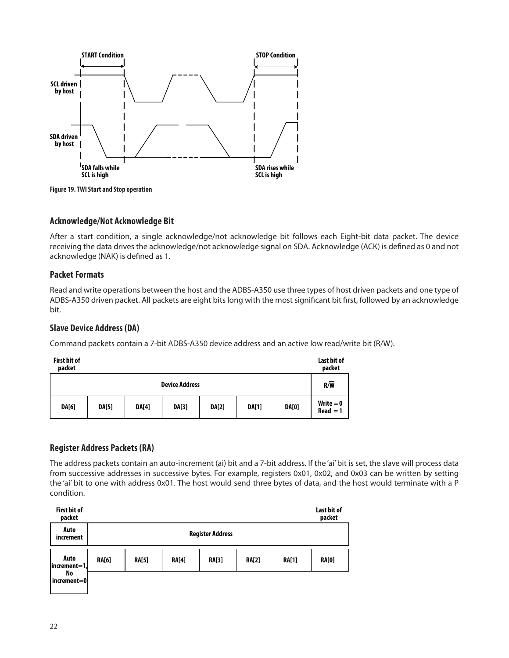

**Figure 19. TWI Start and Stop operation**

# **Acknowle dge/Not Acknowledge Bit**

After a start condition, a single acknowledge/not acknowledge bit follows each Eight-bit data packet. The device receiving the data drives the acknowledge/not acknowledge signal on SDA. Acknowledge (ACK) is defined as 0 and not acknowledge (NAK) is defined as 1.

#### **Packet Formats**

Read and write operations between the host and the ADBS-A350 use three types of host driven packets and one type of ADBS-A350 driven packet. All packets are eight bits long with the most significant bit first, followed by an acknowledge bit.

# **Slave Device Address (DA)**

Command packets contain a 7-bit ADBS-A350 device address and an active low read/write bit (R/W).

| <b>First bit of</b><br>packet |              |              |                       |              |              |              | Last bit of<br>packet     |
|-------------------------------|--------------|--------------|-----------------------|--------------|--------------|--------------|---------------------------|
|                               |              |              | <b>Device Address</b> |              |              |              | R/W                       |
| <b>DA[6]</b>                  | <b>DA[5]</b> | <b>DA[4]</b> | <b>DA[3]</b>          | <b>DA[2]</b> | <b>DA[1]</b> | <b>DA[0]</b> | $Write = 0$<br>$Read = 1$ |

# **Register Address Packets (RA)**

The address packets contain an auto-increment (ai) bit and a 7-bit address. If the 'ai' bit is set, the slave will process data from successive addresses in successive bytes. For example, registers 0x01, 0x02, and 0x03 can be written by setting the 'ai' bit to one with address 0x01. The host would send three bytes of data, and the host would terminate with a P condition.

| <b>First bit of</b><br>packet |              |              |              |                         |              |              | Last bit of<br>packet |
|-------------------------------|--------------|--------------|--------------|-------------------------|--------------|--------------|-----------------------|
| Auto<br>increment             |              |              |              | <b>Register Address</b> |              |              |                       |
| Auto<br>increment=1,          | <b>RA[6]</b> | <b>RA[5]</b> | <b>RA[4]</b> | <b>RA[3]</b>            | <b>RA[2]</b> | <b>RA[1]</b> | <b>RA[0]</b>          |
| No<br>increment=0             |              |              |              |                         |              |              |                       |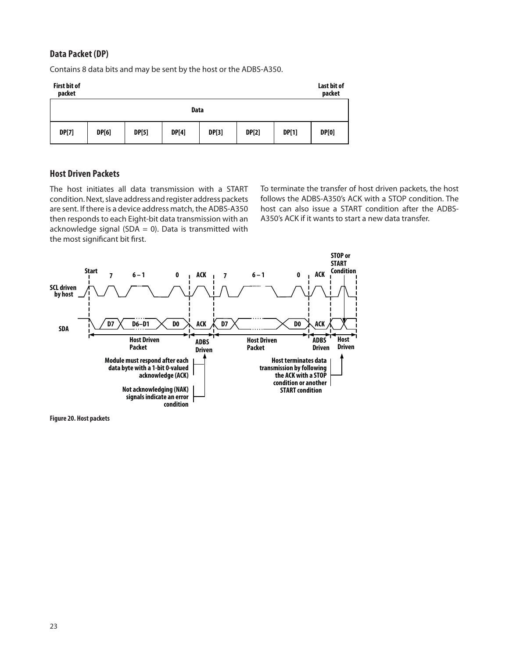# **Data Packet (DP)**

Contains 8 data bits and may be sent by the host or the ADBS-A350.



# **Host Driven Packets**

The host initiates all data transmission with a START condition. Next, slave address and register address packets are sent. If there is a device address match, the ADBS-A350 then responds to each Eight-bit data transmission with an acknowledge signal (SDA = 0). Data is transmitted with the most significant bit first.

To terminate the transfer of host driven packets, the host follows the ADBS-A350's ACK with a STOP condition. The host can also issue a START condition after the ADBS-A350's ACK if it wants to start a new data transfer.



**Figure 20. Host packets**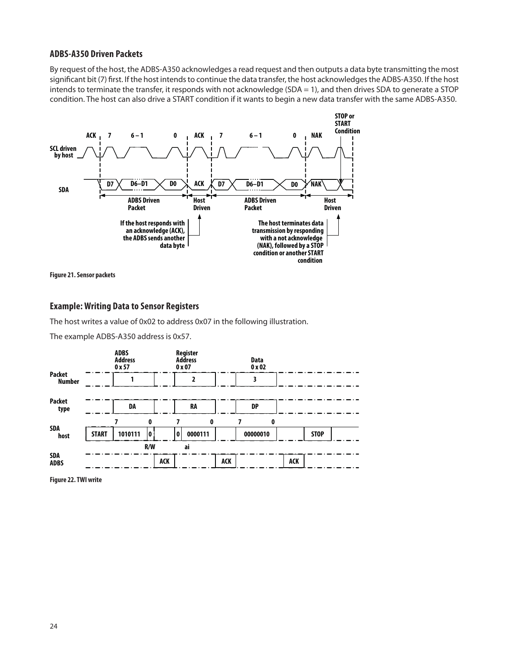#### **ADBS-A350 Driven Packets**

By request of the host, the ADBS-A350 acknowledges a read request and then outputs a data byte transmitting the most significant bit (7) first. If the host intends to continue the data transfer, the host acknowledges the ADBS-A350. If the host intends to terminate the transfer, it responds with not acknowledge (SDA = 1), and then drives SDA to generate a STOP condition. The host can also drive a START condition if it wants to begin a new data transfer with the same ADBS-A350.



**Figure 21. Sensor packets**

# **Example: Writing Data to Sensor Registers**

The host writes a value of 0x02 to address 0x07 in the following illustration.

The example ADBS-A350 address is 0x57.



**Figure 22. TWI write**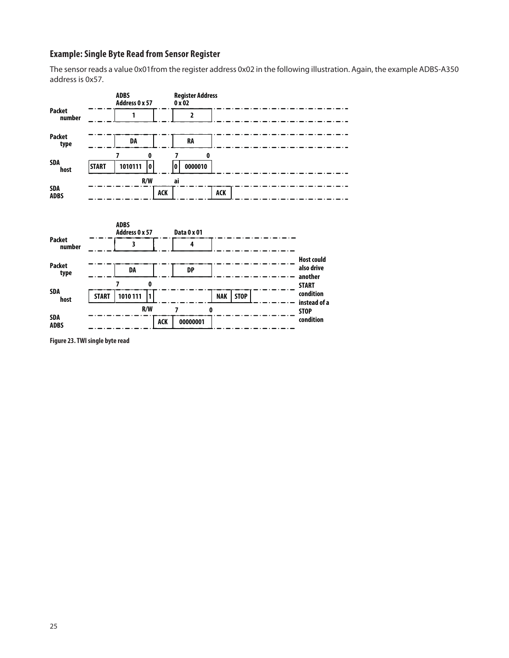# **Example: Single Byte Read from Sensor Register**

The sensor reads a value 0x01from the register address 0x02 in the following illustration. Again, the example ADBS-A350 address is 0x57.



**ACK**

**00000001**

**ADBS**

**Figure 23. TWI single byte read**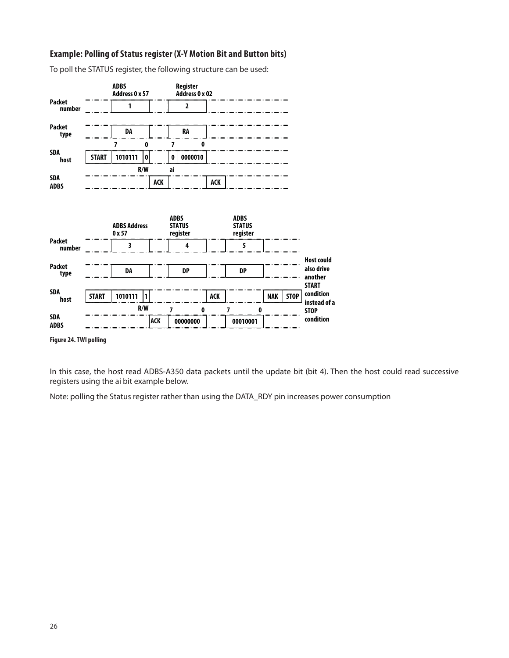### **Example: Polling of Status register (X-Y Motion Bit and Button bits)**

To poll the STATUS register, the following structure can be used:



**Figure 24. TWI polling**

In this case, the host read ADBS-A350 data packets until the update bit (bit 4). Then the host could read successive registers using the ai bit example below.

Note: polling the Status register rather than using the DATA\_RDY pin increases power consumption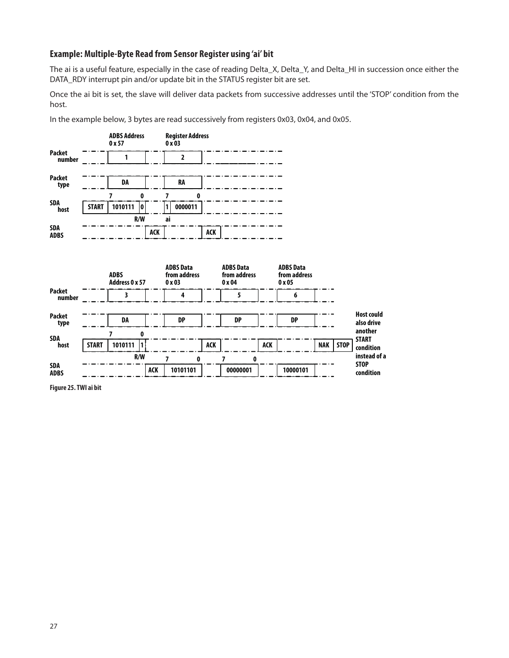#### **Example: Multiple-Byte Read from Sensor Register using 'ai' bit**

The ai is a useful feature, especially in the case of reading Delta\_X, Delta\_Y, and Delta\_HI in succession once either the DATA\_RDY interrupt pin and/or update bit in the STATUS register bit are set.

Once the ai bit is set, the slave will deliver data packets from successive addresses until the 'STOP' condition from the host.

In the example below, 3 bytes are read successively from registers 0x03, 0x04, and 0x05.



**Figure 25. TWI ai bit**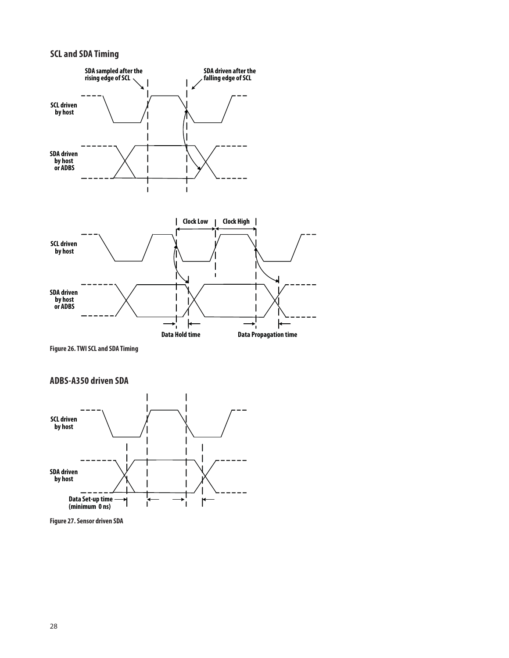# **SCL and SDA Timing**



**Figure 26. TWI SCL and SDA Timing**

**ADBS-A350 driven SDA**



**Figure 27. Sensor driven SDA**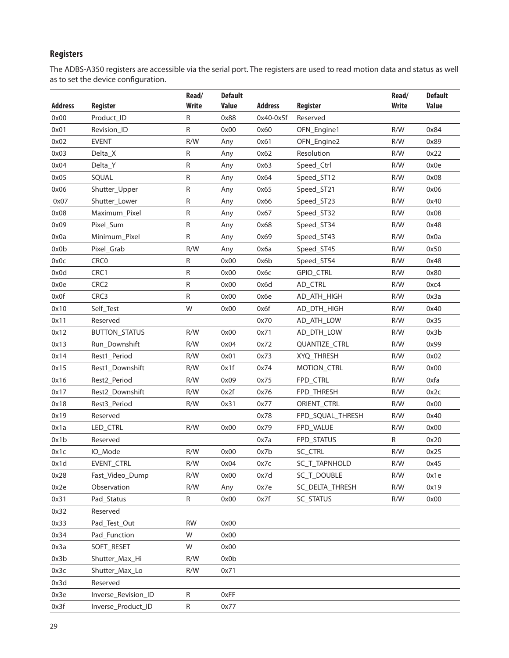# **Registers**

The ADBS-A350 registers are accessible via the serial port. The registers are used to read motion data and status as well as to set the device configuration.

|                |                      | Read/        | <b>Default</b> |                |                    | Read/        | <b>Default</b> |
|----------------|----------------------|--------------|----------------|----------------|--------------------|--------------|----------------|
| <b>Address</b> | <b>Register</b>      | <b>Write</b> | <b>Value</b>   | <b>Address</b> | Register           | <b>Write</b> | <b>Value</b>   |
| 0x00           | Product_ID           | R            | 0x88           | 0x40-0x5f      | Reserved           |              |                |
| 0x01           | Revision_ID          | R            | 0x00           | 0x60           | OFN_Engine1        | R/W          | 0x84           |
| 0x02           | <b>EVENT</b>         | R/W          | Any            | 0x61           | OFN_Engine2        | R/W          | 0x89           |
| 0x03           | Delta_X              | R            | Any            | 0x62           | Resolution         | R/W          | 0x22           |
| 0x04           | Delta_Y              | R            | Any            | 0x63           | Speed_Ctrl         | R/W          | 0x0e           |
| 0x05           | SQUAL                | R            | Any            | 0x64           | Speed_ST12         | R/W          | 0x08           |
| 0x06           | Shutter_Upper        | R            | Any            | 0x65           | Speed_ST21         | R/W          | 0x06           |
| 0x07           | Shutter_Lower        | R            | Any            | 0x66           | Speed_ST23         | R/W          | 0x40           |
| 0x08           | Maximum_Pixel        | R            | Any            | 0x67           | Speed_ST32         | R/W          | 0x08           |
| 0x09           | Pixel_Sum            | R            | Any            | 0x68           | Speed_ST34         | R/W          | 0x48           |
| 0x0a           | Minimum_Pixel        | ${\sf R}$    | Any            | 0x69           | Speed_ST43         | R/W          | 0x0a           |
| 0x0b           | Pixel_Grab           | R/W          | Any            | 0х6а           | Speed_ST45         | R/W          | 0x50           |
| 0x0c           | CRC <sub>0</sub>     | R            | 0x00           | 0x6b           | Speed_ST54         | R/W          | 0x48           |
| 0x0d           | CRC1                 | R            | 0x00           | 0x6c           | <b>GPIO_CTRL</b>   | R/W          | 0x80           |
| 0x0e           | CRC <sub>2</sub>     | R            | 0x00           | 0x6d           | AD_CTRL            | R/W          | 0xc4           |
| 0x0f           | CRC3                 | R            | 0x00           | 0x6e           | AD_ATH_HIGH        | R/W          | 0x3a           |
| 0x10           | Self_Test            | W            | 0x00           | 0x6f           | AD_DTH_HIGH        | R/W          | 0x40           |
| 0x11           | Reserved             |              |                | 0x70           | AD_ATH_LOW         | R/W          | 0x35           |
| 0x12           | <b>BUTTON_STATUS</b> | R/W          | 0x00           | 0x71           | AD_DTH_LOW         | R/W          | 0x3b           |
| 0x13           | Run_Downshift        | R/W          | 0x04           | 0x72           | QUANTIZE_CTRL      | R/W          | 0x99           |
| 0x14           | Rest1_Period         | R/W          | 0x01           | 0x73           | XYQ_THRESH         | R/W          | 0x02           |
| 0x15           | Rest1_Downshift      | R/W          | 0x1f           | 0x74           | <b>MOTION_CTRL</b> | R/W          | 0x00           |
| 0x16           | Rest2_Period         | R/W          | 0x09           | 0x75           | FPD_CTRL           | R/W          | 0xfa           |
| 0x17           | Rest2_Downshift      | R/W          | 0x2f           | 0x76           | FPD_THRESH         | R/W          | 0x2c           |
| 0x18           | Rest3_Period         | R/W          | 0x31           | 0x77           | ORIENT_CTRL        | R/W          | 0x00           |
| 0x19           | Reserved             |              |                | 0x78           | FPD_SQUAL_THRESH   | R/W          | 0x40           |
| 0x1a           | LED_CTRL             | R/W          | 0x00           | 0x79           | FPD_VALUE          | R/W          | 0x00           |
| 0x1b           | Reserved             |              |                | 0x7a           | FPD_STATUS         | ${\sf R}$    | 0x20           |
| 0x1c           | IO_Mode              | R/W          | 0x00           | 0x7b           | SC_CTRL            | R/W          | 0x25           |
| 0x1d           | EVENT_CTRL           | R/W          | 0x04           | 0x7c           | SC_T_TAPNHOLD      | R/W          | 0x45           |
| 0x28           | Fast_Video_Dump      | R/W          | 0x00           | 0x7d           | SC_T_DOUBLE        | R/W          | 0x1e           |
| 0x2e           | Observation          | R/W          | Any            | 0x7e           | SC_DELTA_THRESH    | R/W          | 0x19           |
| 0x31           | Pad_Status           | R            | 0x00           | 0x7f           | SC_STATUS          | R/W          | 0x00           |
| 0x32           | Reserved             |              |                |                |                    |              |                |
| 0x33           | Pad_Test_Out         | <b>RW</b>    | 0x00           |                |                    |              |                |
| 0x34           | Pad_Function         | W            | 0x00           |                |                    |              |                |
| 0x3a           | SOFT_RESET           | W            | 0x00           |                |                    |              |                |
| 0x3b           | Shutter_Max_Hi       | R/W          | 0x0b           |                |                    |              |                |
| 0x3c           | Shutter_Max_Lo       | R/W          | 0x71           |                |                    |              |                |
| 0x3d           | Reserved             |              |                |                |                    |              |                |
| 0x3e           | Inverse_Revision_ID  | R            | 0xFF           |                |                    |              |                |
| 0x3f           | Inverse_Product_ID   | ${\sf R}$    | 0x77           |                |                    |              |                |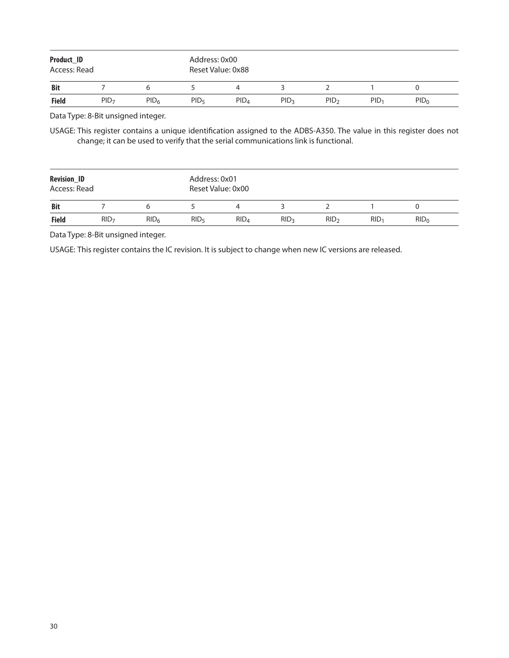| Product_ID<br>Access: Read |                  |                  |                  | Address: 0x00<br>Reset Value: 0x88 |                  |                  |                  |                  |  |  |  |
|----------------------------|------------------|------------------|------------------|------------------------------------|------------------|------------------|------------------|------------------|--|--|--|
| <b>Bit</b>                 |                  |                  |                  |                                    |                  |                  |                  |                  |  |  |  |
| <b>Field</b>               | PID <sub>7</sub> | PID <sub>6</sub> | PID <sub>5</sub> | PID <sub>4</sub>                   | PID <sub>3</sub> | PID <sub>2</sub> | PID <sub>1</sub> | PID <sub>0</sub> |  |  |  |

Data Type: 8-Bit unsigned integer.

USAGE: This register contains a unique identification assigned to the ADBS-A350. The value in this register does not change; it can be used to verify that the serial communications link is functional.

| <b>Revision_ID</b><br>Access: Read |                  |                  |                  | Address: 0x01<br>Reset Value: 0x00 |                  |                  |                  |         |  |  |  |
|------------------------------------|------------------|------------------|------------------|------------------------------------|------------------|------------------|------------------|---------|--|--|--|
| <b>Bit</b>                         |                  |                  |                  |                                    |                  |                  |                  |         |  |  |  |
| <b>Field</b>                       | RID <sub>7</sub> | RID <sub>6</sub> | RID <sub>5</sub> | RID <sub>4</sub>                   | RID <sub>3</sub> | RID <sub>2</sub> | RID <sub>1</sub> | $RID_0$ |  |  |  |

Data Type: 8-Bit unsigned integer.

USAGE: This register contains the IC revision. It is subject to change when new IC versions are released.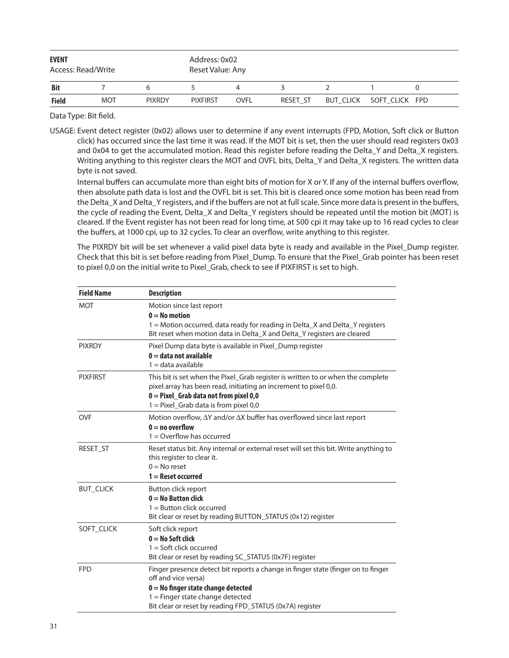| <b>EVENT</b><br>Access: Read/Write |            |               | Address: 0x02<br>Reset Value: Any |             |          |  |                          |  |  |
|------------------------------------|------------|---------------|-----------------------------------|-------------|----------|--|--------------------------|--|--|
| <b>Bit</b>                         |            |               |                                   |             |          |  |                          |  |  |
| <b>Field</b>                       | <b>MOT</b> | <b>PIXRDY</b> | <b>PIXFIRST</b>                   | <b>OVFL</b> | RESET ST |  | BUT CLICK SOFT CLICK FPD |  |  |

USAGE: Event detect register (0x02) allows user to determine if any event interrupts (FPD, Motion, Soft click or Button click) has occurred since the last time it was read. If the MOT bit is set, then the user should read registers 0x03 and 0x04 to get the accumulated motion. Read this register before reading the Delta\_Y and Delta\_X registers. Writing anything to this register clears the MOT and OVFL bits, Delta\_Y and Delta\_X registers. The written data byte is not saved.

Internal buffers can accumulate more than eight bits of motion for X or Y. If any of the internal buffers overflow, then absolute path data is lost and the OVFL bit is set. This bit is cleared once some motion has been read from the Delta X and Delta Y registers, and if the buffers are not at full scale. Since more data is present in the buffers, the cycle of reading the Event, Delta X and Delta Y registers should be repeated until the motion bit (MOT) is cleared. If the Event register has not been read for long time, at 500 cpi it may take up to 16 read cycles to clear the buffers, at 1000 cpi, up to 32 cycles. To clear an overflow, write anything to this register.

 The PIXRDY bit will be set whenever a valid pixel data byte is ready and available in the Pixel\_Dump register. Check that this bit is set before reading from Pixel\_Dump. To ensure that the Pixel\_Grab pointer has been reset to pixel 0,0 on the initial write to Pixel Grab, check to see if PIXFIRST is set to high.

| <b>Field Name</b> | <b>Description</b>                                                                                                                                                                                                                                 |
|-------------------|----------------------------------------------------------------------------------------------------------------------------------------------------------------------------------------------------------------------------------------------------|
| <b>MOT</b>        | Motion since last report<br>$0 = No$ motion<br>1 = Motion occurred, data ready for reading in Delta X and Delta Y registers<br>Bit reset when motion data in Delta_X and Delta_Y registers are cleared                                             |
| <b>PIXRDY</b>     | Pixel Dump data byte is available in Pixel Dump register<br>$0 =$ data not available<br>$1 = data$ available                                                                                                                                       |
| <b>PIXFIRST</b>   | This bit is set when the Pixel_Grab register is written to or when the complete<br>pixel array has been read, initiating an increment to pixel 0,0.<br>$0 =$ Pixel Grab data not from pixel 0,0<br>1 = Pixel_Grab data is from pixel 0,0           |
| <b>OVF</b>        | Motion overflow, $\Delta Y$ and/or $\Delta X$ buffer has overflowed since last report<br>$0 = no$ overflow<br>$1 =$ Overflow has occurred                                                                                                          |
| RESET_ST          | Reset status bit. Any internal or external reset will set this bit. Write anything to<br>this register to clear it.<br>$0 =$ No reset<br>$1 =$ Reset occurred                                                                                      |
| <b>BUT CLICK</b>  | Button click report<br>$0 = No$ Button click<br>$1 =$ Button click occurred<br>Bit clear or reset by reading BUTTON_STATUS (0x12) register                                                                                                         |
| SOFT CLICK        | Soft click report<br>$0 = No$ Soft click<br>$1 =$ Soft click occurred<br>Bit clear or reset by reading SC_STATUS (0x7F) register                                                                                                                   |
| <b>FPD</b>        | Finger presence detect bit reports a change in finger state (finger on to finger<br>off and vice versa)<br>$0 = No$ finger state change detected<br>$1 =$ Finger state change detected<br>Bit clear or reset by reading FPD_STATUS (0x7A) register |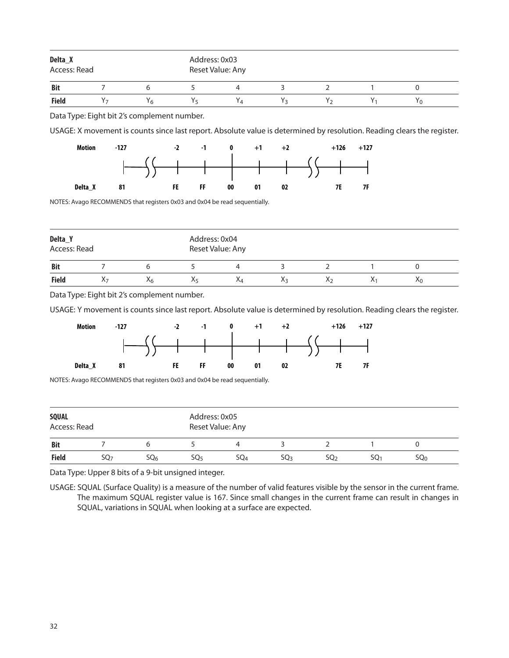| Delta_X<br>Access: Read |                                             |    | Address: 0x03<br>Reset Value: Any |    |  |  |    |  |  |  |
|-------------------------|---------------------------------------------|----|-----------------------------------|----|--|--|----|--|--|--|
| <b>Bit</b>              |                                             |    |                                   |    |  |  |    |  |  |  |
| <b>Field</b>            | Y <sub>6</sub>                              | Yҕ | Y4                                | Yэ |  |  | Υņ |  |  |  |
|                         | Data Type: Eight bit 2's complement number. |    |                                   |    |  |  |    |  |  |  |
| .                       |                                             |    |                                   |    |  |  |    |  |  |  |

USAGE: X movement is counts since last report. Absolute value is determined by resolution. Reading clears the register.



NOTES: Avago RECOMMENDS that registers 0x03 and 0x04 be read sequentially.

| Delta_Y      | Access: Read |    |    | Address: 0x04<br>Reset Value: Any |    |    |    |    |
|--------------|--------------|----|----|-----------------------------------|----|----|----|----|
| <b>Bit</b>   |              |    |    |                                   |    |    |    |    |
| <b>Field</b> | λ7           | X6 | Χs | Λ4                                | Ăз | ٨э | V. | ٨n |

Data Type: Eight bit 2's complement number.

USAGE: Y movement is counts since last report. Absolute value is determined by resolution. Reading clears the register.



NOTES: Avago RECOMMENDS that registers 0x03 and 0x04 be read sequentially.

| <b>SQUAL</b><br>Access: Read |                 |                 | Address: 0x05<br>Reset Value: Any |                 |                 |                 |     |                 |  |
|------------------------------|-----------------|-----------------|-----------------------------------|-----------------|-----------------|-----------------|-----|-----------------|--|
| <b>Bit</b>                   |                 |                 |                                   |                 |                 |                 |     |                 |  |
| <b>Field</b>                 | SQ <sub>7</sub> | SQ <sub>6</sub> | SO <sub>5</sub>                   | SO <sub>4</sub> | SO <sub>3</sub> | SO <sub>2</sub> | SO1 | SQ <sub>0</sub> |  |

Data Type: Upper 8 bits of a 9-bit unsigned integer.

USAGE: SQUAL (Surface Quality) is a measure of the number of valid features visible by the sensor in the current frame. The maximum SQUAL register value is 167. Since small changes in the current frame can result in changes in SQUAL, variations in SQUAL when looking at a surface are expected.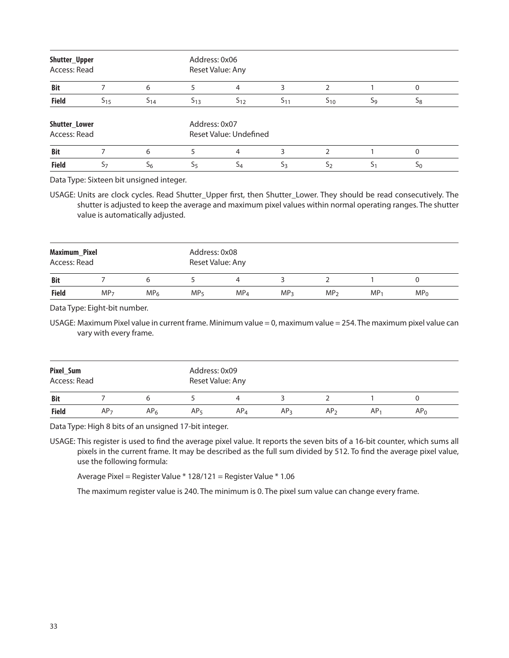| Shutter_Upper<br>Access: Read |                |          | Address: 0x06  | Reset Value: Any       |          |               |    |    |  |
|-------------------------------|----------------|----------|----------------|------------------------|----------|---------------|----|----|--|
| <b>Bit</b>                    |                | 6        |                | 4                      | 3        |               |    | 0  |  |
| <b>Field</b>                  | $S_{15}$       | $S_{14}$ | $S_{13}$       | $S_{12}$               | $S_{11}$ | $S_{10}$      | S9 | S8 |  |
| Shutter_Lower<br>Access: Read |                |          | Address: 0x07  | Reset Value: Undefined |          |               |    |    |  |
| <b>Bit</b>                    |                | 6        |                | 4                      | 3        | $\mathcal{P}$ |    | 0  |  |
| <b>Field</b>                  | S <sub>7</sub> | $S_6$    | S <sub>5</sub> | $S_4$                  | $S_3$    | 52            |    | 50 |  |

Data Type: Sixteen bit unsigned integer.

USAGE: Units are clock cycles. Read Shutter Upper first, then Shutter Lower. They should be read consecutively. The shutter is adjusted to keep the average and maximum pixel values within normal operating ranges. The shutter value is automatically adjusted.

| <b>Maximum_Pixel</b><br>Access: Read |                 |                 | Address: 0x08<br>Reset Value: Any |                 |     |                 |                 |                 |
|--------------------------------------|-----------------|-----------------|-----------------------------------|-----------------|-----|-----------------|-----------------|-----------------|
| <b>Bit</b>                           |                 |                 |                                   | 4               |     |                 |                 |                 |
| <b>Field</b>                         | MP <sub>7</sub> | MP <sub>6</sub> | MP <sub>5</sub>                   | MP <sub>4</sub> | MP3 | MP <sub>2</sub> | MP <sub>1</sub> | MP <sub>0</sub> |

Data Type: Eight-bit number.

USAGE: Maximum Pixel value in current frame. Minimum value = 0, maximum value = 254. The maximum pixel value can vary with every frame.

| Pixel_Sum<br>Access: Read |                 |                 | Address: 0x09<br>Reset Value: Any |                 |                 |                 |     |                 |  |
|---------------------------|-----------------|-----------------|-----------------------------------|-----------------|-----------------|-----------------|-----|-----------------|--|
| <b>Bit</b>                |                 |                 |                                   |                 |                 |                 |     |                 |  |
| <b>Field</b>              | AP <sub>7</sub> | AP <sub>6</sub> | AP <sub>5</sub>                   | AP <sub>4</sub> | AP <sub>3</sub> | AP <sub>2</sub> | AP. | AP <sub>0</sub> |  |

Data Type: High 8 bits of an unsigned 17-bit integer.

USAGE: This register is used to find the average pixel value. It reports the seven bits of a 16-bit counter, which sums all pixels in the current frame. It may be described as the full sum divided by 512. To find the average pixel value, use the following formula:

Average Pixel = Register Value \* 128/121 = Register Value \* 1.06

The maximum register value is 240. The minimum is 0. The pixel sum value can change every frame.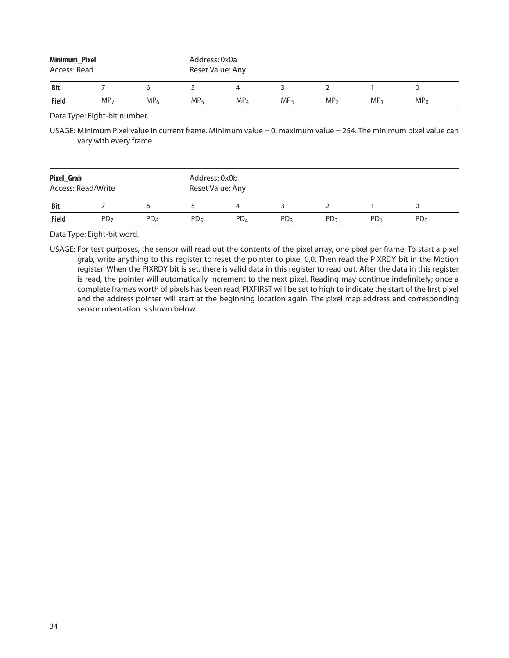| Minimum_Pixel<br>Access: Read |                 |                 | Address: 0x0a<br>Reset Value: Any |                 |                 |                 |        |                 |
|-------------------------------|-----------------|-----------------|-----------------------------------|-----------------|-----------------|-----------------|--------|-----------------|
| <b>Bit</b>                    |                 |                 |                                   |                 |                 |                 |        |                 |
| <b>Field</b>                  | MP <sub>7</sub> | MP <sub>6</sub> | MP <sub>5</sub>                   | MP <sub>4</sub> | MP <sub>3</sub> | MP <sub>2</sub> | $MP_1$ | MP <sub>0</sub> |

Data Type: Eight-bit number.

USAGE: Minimum Pixel value in current frame. Minimum value = 0, maximum value = 254. The minimum pixel value can vary with every frame.

| Pixel_Grab   | Access: Read/Write |                 | Address: 0x0b<br>Reset Value: Any |                 |                 |                 |                 |                 |  |
|--------------|--------------------|-----------------|-----------------------------------|-----------------|-----------------|-----------------|-----------------|-----------------|--|
| <b>Bit</b>   |                    |                 |                                   |                 |                 |                 |                 |                 |  |
| <b>Field</b> | PD <sub>7</sub>    | PD <sub>6</sub> | PD <sub>5</sub>                   | PD <sub>4</sub> | PD <sub>3</sub> | PD <sub>2</sub> | PD <sub>1</sub> | PD <sub>0</sub> |  |

Data Type: Eight-bit word.

USAGE: For test purposes, the sensor will read out the contents of the pixel array, one pixel per frame. To start a pixel grab, write anything to this register to reset the pointer to pixel 0,0. Then read the PIXRDY bit in the Motion register. When the PIXRDY bit is set, there is valid data in this register to read out. After the data in this register is read, the pointer will automatically increment to the next pixel. Reading may continue indefinitely; once a complete frame's worth of pixels has been read, PIXFIRST will be set to high to indicate the start of the first pixel and the address pointer will start at the beginning location again. The pixel map address and corresponding sensor orientation is shown below.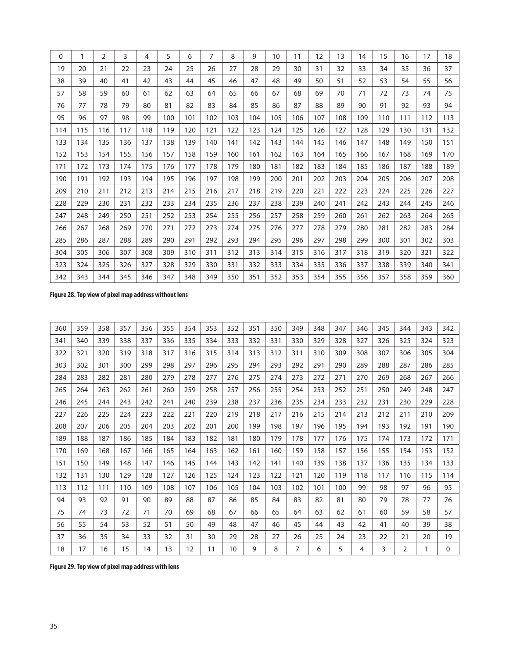| 0   |     | 2   | 3   | 4   | 5   | 6   | 7   | 8   | 9   | 10  | 11  | 12  | 13  | 14  | 15  | 16  | 17  | 18  |
|-----|-----|-----|-----|-----|-----|-----|-----|-----|-----|-----|-----|-----|-----|-----|-----|-----|-----|-----|
| 19  | 20  | 21  | 22  | 23  | 24  | 25  | 26  | 27  | 28  | 29  | 30  | 31  | 32  | 33  | 34  | 35  | 36  | 37  |
| 38  | 39  | 40  | 41  | 42  | 43  | 44  | 45  | 46  | 47  | 48  | 49  | 50  | 51  | 52  | 53  | 54  | 55  | 56  |
| 57  | 58  | 59  | 60  | 61  | 62  | 63  | 64  | 65  | 66  | 67  | 68  | 69  | 70  | 71  | 72  | 73  | 74  | 75  |
| 76  | 77  | 78  | 79  | 80  | 81  | 82  | 83  | 84  | 85  | 86  | 87  | 88  | 89  | 90  | 91  | 92  | 93  | 94  |
| 95  | 96  | 97  | 98  | 99  | 100 | 101 | 102 | 103 | 104 | 105 | 106 | 107 | 108 | 109 | 110 | 111 | 112 | 113 |
| 114 | 115 | 116 | 117 | 118 | 119 | 120 | 121 | 122 | 123 | 124 | 125 | 126 | 127 | 128 | 129 | 130 | 131 | 132 |
| 133 | 134 | 135 | 136 | 137 | 138 | 139 | 140 | 141 | 142 | 143 | 144 | 145 | 146 | 147 | 148 | 149 | 150 | 151 |
| 152 | 153 | 154 | 155 | 156 | 157 | 158 | 159 | 160 | 161 | 162 | 163 | 164 | 165 | 166 | 167 | 168 | 169 | 170 |
| 171 | 172 | 173 | 174 | 175 | 176 | 177 | 178 | 179 | 180 | 181 | 182 | 183 | 184 | 185 | 186 | 187 | 188 | 189 |
| 190 | 191 | 192 | 193 | 194 | 195 | 196 | 197 | 198 | 199 | 200 | 201 | 202 | 203 | 204 | 205 | 206 | 207 | 208 |
| 209 | 210 | 211 | 212 | 213 | 214 | 215 | 216 | 217 | 218 | 219 | 220 | 221 | 222 | 223 | 224 | 225 | 226 | 227 |
| 228 | 229 | 230 | 231 | 232 | 233 | 234 | 235 | 236 | 237 | 238 | 239 | 240 | 241 | 242 | 243 | 244 | 245 | 246 |
| 247 | 248 | 249 | 250 | 251 | 252 | 253 | 254 | 255 | 256 | 257 | 258 | 259 | 260 | 261 | 262 | 263 | 264 | 265 |
| 266 | 267 | 268 | 269 | 270 | 271 | 272 | 273 | 274 | 275 | 276 | 277 | 278 | 279 | 280 | 281 | 282 | 283 | 284 |
| 285 | 286 | 287 | 288 | 289 | 290 | 291 | 292 | 293 | 294 | 295 | 296 | 297 | 298 | 299 | 300 | 301 | 302 | 303 |
| 304 | 305 | 306 | 307 | 308 | 309 | 310 | 311 | 312 | 313 | 314 | 315 | 316 | 317 | 318 | 319 | 320 | 321 | 322 |
| 323 | 324 | 325 | 326 | 327 | 328 | 329 | 330 | 331 | 332 | 333 | 334 | 335 | 336 | 337 | 338 | 339 | 340 | 341 |
| 342 | 343 | 344 | 345 | 346 | 347 | 348 | 349 | 350 | 351 | 352 | 353 | 354 | 355 | 356 | 357 | 358 | 359 | 360 |

**Figure 28. Top view of pixel map address without lens**

| 360 | 359 | 358 | 357 | 356 | 355 | 354 | 353 | 352 | 351 | 350 | 349            | 348 | 347 | 346 | 345 | 344            | 343 | 342      |
|-----|-----|-----|-----|-----|-----|-----|-----|-----|-----|-----|----------------|-----|-----|-----|-----|----------------|-----|----------|
| 341 | 340 | 339 | 338 | 337 | 336 | 335 | 334 | 333 | 332 | 331 | 330            | 329 | 328 | 327 | 326 | 325            | 324 | 323      |
| 322 | 321 | 320 | 319 | 318 | 317 | 316 | 315 | 314 | 313 | 312 | 311            | 310 | 309 | 308 | 307 | 306            | 305 | 304      |
| 303 | 302 | 301 | 300 | 299 | 298 | 297 | 296 | 295 | 294 | 293 | 292            | 291 | 290 | 289 | 288 | 287            | 286 | 285      |
| 284 | 283 | 282 | 281 | 280 | 279 | 278 | 277 | 276 | 275 | 274 | 273            | 272 | 271 | 270 | 269 | 268            | 267 | 266      |
| 265 | 264 | 263 | 262 | 261 | 260 | 259 | 258 | 257 | 256 | 255 | 254            | 253 | 252 | 251 | 250 | 249            | 248 | 247      |
| 246 | 245 | 244 | 243 | 242 | 241 | 240 | 239 | 238 | 237 | 236 | 235            | 234 | 233 | 232 | 231 | 230            | 229 | 228      |
| 227 | 226 | 225 | 224 | 223 | 222 | 221 | 220 | 219 | 218 | 217 | 216            | 215 | 214 | 213 | 212 | 211            | 210 | 209      |
| 208 | 207 | 206 | 205 | 204 | 203 | 202 | 201 | 200 | 199 | 198 | 197            | 196 | 195 | 194 | 193 | 192            | 191 | 190      |
| 189 | 188 | 187 | 186 | 185 | 184 | 183 | 182 | 181 | 180 | 179 | 178            | 177 | 176 | 175 | 174 | 173            | 172 | 171      |
| 170 | 169 | 168 | 167 | 166 | 165 | 164 | 163 | 162 | 161 | 160 | 159            | 158 | 157 | 156 | 155 | 154            | 153 | 152      |
| 151 | 150 | 149 | 148 | 147 | 146 | 145 | 144 | 143 | 142 | 141 | 140            | 139 | 138 | 137 | 136 | 135            | 134 | 133      |
| 132 | 131 | 130 | 129 | 128 | 127 | 126 | 125 | 124 | 123 | 122 | 121            | 120 | 119 | 118 | 117 | 116            | 115 | 114      |
| 113 | 112 | 111 | 110 | 109 | 108 | 107 | 106 | 105 | 104 | 103 | 102            | 101 | 100 | 99  | 98  | 97             | 96  | 95       |
| 94  | 93  | 92  | 91  | 90  | 89  | 88  | 87  | 86  | 85  | 84  | 83             | 82  | 81  | 80  | 79  | 78             | 77  | 76       |
| 75  | 74  | 73  | 72  | 71  | 70  | 69  | 68  | 67  | 66  | 65  | 64             | 63  | 62  | 61  | 60  | 59             | 58  | 57       |
| 56  | 55  | 54  | 53  | 52  | 51  | 50  | 49  | 48  | 47  | 46  | 45             | 44  | 43  | 42  | 41  | 40             | 39  | 38       |
| 37  | 36  | 35  | 34  | 33  | 32  | 31  | 30  | 29  | 28  | 27  | 26             | 25  | 24  | 23  | 22  | 21             | 20  | 19       |
| 18  | 17  | 16  | 15  | 14  | 13  | 12  | 11  | 10  | 9   | 8   | $\overline{7}$ | 6   | 5   | 4   | 3   | $\overline{2}$ | 1   | $\Omega$ |

**Figure 29. Top view of pixel map address with lens**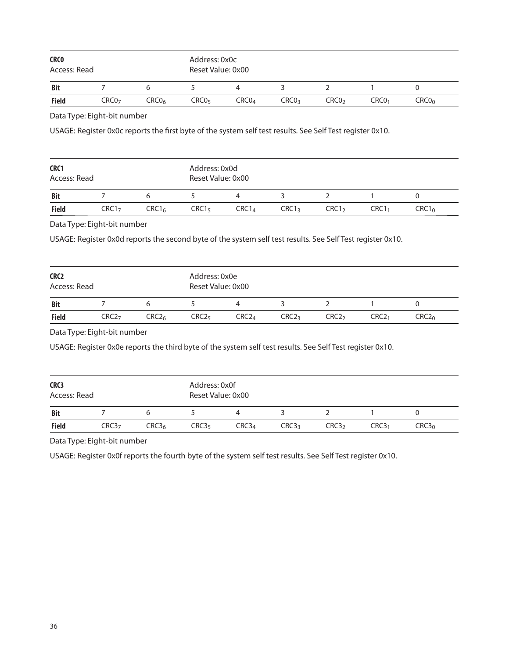| <b>CRCO</b><br>Access: Read                                                                              |                                                                                                                                                                |                   | Address: 0x0c<br>Reset Value: 0x00 |                   |                   |                   |                   |                   |
|----------------------------------------------------------------------------------------------------------|----------------------------------------------------------------------------------------------------------------------------------------------------------------|-------------------|------------------------------------|-------------------|-------------------|-------------------|-------------------|-------------------|
| <b>Bit</b>                                                                                               | $\overline{7}$                                                                                                                                                 | 6                 | 5                                  | 4                 | 3                 | $\overline{2}$    | 1                 | 0                 |
| <b>Field</b>                                                                                             | CRC <sub>07</sub>                                                                                                                                              | CRC0 <sub>6</sub> | CRCO <sub>5</sub>                  | CRCO <sub>4</sub> | CRCO <sub>3</sub> | CRCO <sub>2</sub> | CRCO <sub>1</sub> | CRCO <sub>0</sub> |
|                                                                                                          | Data Type: Eight-bit number                                                                                                                                    |                   |                                    |                   |                   |                   |                   |                   |
|                                                                                                          | USAGE: Register 0x0c reports the first byte of the system self test results. See Self Test register 0x10.                                                      |                   |                                    |                   |                   |                   |                   |                   |
|                                                                                                          |                                                                                                                                                                |                   |                                    |                   |                   |                   |                   |                   |
| CRC1                                                                                                     |                                                                                                                                                                |                   | Address: 0x0d                      |                   |                   |                   |                   |                   |
| Access: Read                                                                                             |                                                                                                                                                                |                   | Reset Value: 0x00                  |                   |                   |                   |                   |                   |
| <b>Bit</b>                                                                                               | 7                                                                                                                                                              | 6                 | 5                                  | $\overline{4}$    | 3                 | $\overline{2}$    | 1                 | 0                 |
|                                                                                                          |                                                                                                                                                                |                   |                                    |                   | CRC1 <sub>3</sub> | CRC1 <sub>2</sub> | CRC1 <sub>1</sub> | CRC1 <sub>0</sub> |
|                                                                                                          | CRC1 <sub>7</sub><br>Data Type: Eight-bit number<br>USAGE: Register 0x0d reports the second byte of the system self test results. See Self Test register 0x10. | CRC1 <sub>6</sub> | CRC1 <sub>5</sub>                  | CRC1 <sub>4</sub> |                   |                   |                   |                   |
|                                                                                                          |                                                                                                                                                                |                   | Address: 0x0e<br>Reset Value: 0x00 |                   |                   |                   |                   |                   |
|                                                                                                          | 7                                                                                                                                                              | 6                 | 5                                  | $\overline{4}$    | 3                 | $\overline{2}$    | $\mathbf{1}$      | 0                 |
|                                                                                                          | CRC2 <sub>7</sub>                                                                                                                                              | CRC2 <sub>6</sub> | CRC2 <sub>5</sub>                  | CRC2 <sub>4</sub> | CRC2 <sub>3</sub> | CRC2 <sub>2</sub> | CRC2 <sub>1</sub> | CRC2 <sub>0</sub> |
|                                                                                                          |                                                                                                                                                                |                   |                                    |                   |                   |                   |                   |                   |
|                                                                                                          | Data Type: Eight-bit number                                                                                                                                    |                   |                                    |                   |                   |                   |                   |                   |
|                                                                                                          | USAGE: Register 0x0e reports the third byte of the system self test results. See Self Test register 0x10.                                                      |                   |                                    |                   |                   |                   |                   |                   |
|                                                                                                          |                                                                                                                                                                |                   | Address: 0x0f                      |                   |                   |                   |                   |                   |
|                                                                                                          |                                                                                                                                                                |                   | Reset Value: 0x00                  |                   |                   |                   |                   |                   |
| <b>Field</b><br>CRC2<br>Access: Read<br><b>Bit</b><br><b>Field</b><br>CRC3<br>Access: Read<br><b>Bit</b> | 7                                                                                                                                                              | 6                 | 5                                  | $\overline{4}$    | 3                 | $\overline{2}$    | 1                 | 0                 |

USAGE: Register 0x0f reports the fourth byte of the system self test results. See Self Test register 0x10.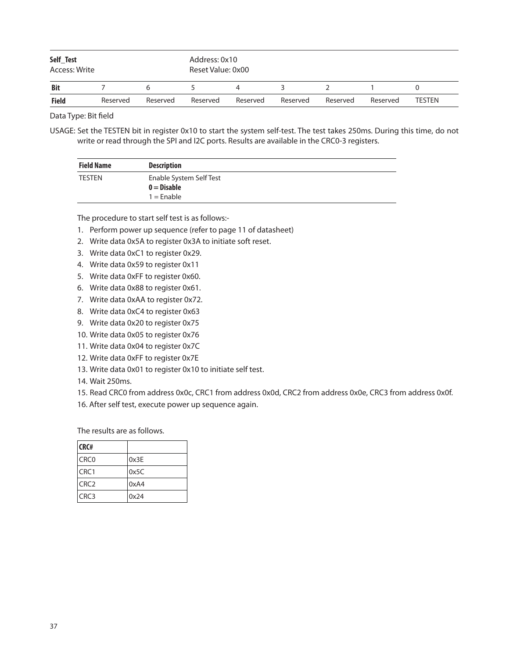| Self_Test<br>Access: Write |          |          | Address: 0x10<br>Reset Value: 0x00 |          |          |          |          |               |
|----------------------------|----------|----------|------------------------------------|----------|----------|----------|----------|---------------|
| <b>Bit</b>                 |          | h        |                                    | 4        |          |          |          |               |
| <b>Field</b>               | Reserved | Reserved | Reserved                           | Reserved | Reserved | Reserved | Reserved | <b>TESTEN</b> |

USAGE: Set the TESTEN bit in register 0x10 to start the system self-test. The test takes 250ms. During this time, do not write or read through the SPI and I2C ports. Results are available in the CRC0-3 registers.

| <b>Field Name</b> | <b>Description</b>      |  |
|-------------------|-------------------------|--|
| <b>TESTEN</b>     | Enable System Self Test |  |
|                   | $0 = Disable$           |  |
|                   | $1 =$ Enable            |  |

The procedure to start self test is as follows:-

- 1. Perform power up sequence (refer to page 11 of datasheet)
- 2. Write data 0x5A to register 0x3A to initiate soft reset.
- 3. Write data 0xC1 to register 0x29.
- 4. Write data 0x59 to register 0x11
- 5. Write data 0xFF to register 0x60.
- 6. Write data 0x88 to register 0x61.
- 7. Write data 0xAA to register 0x72.
- 8. Write data 0xC4 to register 0x63
- 9. Write data 0x20 to register 0x75
- 10. Write data 0x05 to register 0x76
- 11. Write data 0x04 to register 0x7C
- 12. Write data 0xFF to register 0x7E
- 13. Write data 0x01 to register 0x10 to initiate self test.
- 14. Wait 250ms.
- 15. Read CRC0 from address 0x0c, CRC1 from address 0x0d, CRC2 from address 0x0e, CRC3 from address 0x0f.
- 16. After self test, execute power up sequence again.

The results are as follows.

| CRC#             |      |
|------------------|------|
| CRC <sub>0</sub> | 0x3E |
| CRC1             | 0x5C |
| CRC <sub>2</sub> | 0xA4 |
| CRC3             | 0x24 |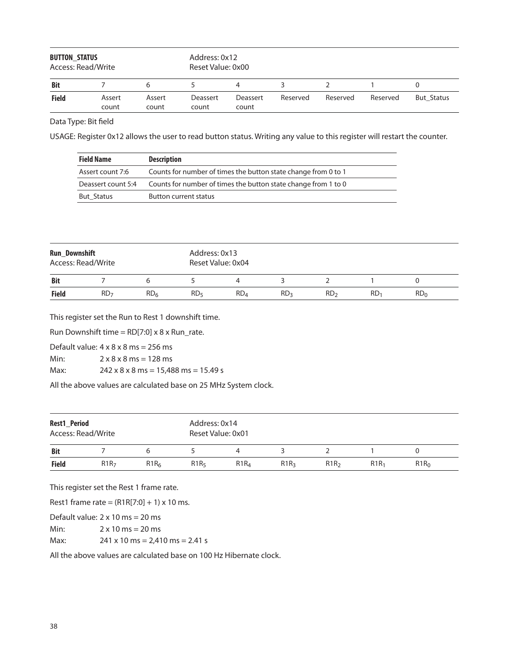| <b>BUTTON STATUS</b><br>Access: Read/Write |                 |                 | Address: 0x12<br>Reset Value: 0x00 |                          |          |          |          |                   |  |  |
|--------------------------------------------|-----------------|-----------------|------------------------------------|--------------------------|----------|----------|----------|-------------------|--|--|
| <b>Bit</b>                                 |                 | 6               |                                    | 4                        |          |          |          |                   |  |  |
| <b>Field</b>                               | Assert<br>count | Assert<br>count | Deassert<br>count                  | <b>Deassert</b><br>count | Reserved | Reserved | Reserved | <b>But Status</b> |  |  |

USAGE: Register 0x12 allows the user to read button status. Writing any value to this register will restart the counter.

| <b>Field Name</b>  | <b>Description</b>                                             |
|--------------------|----------------------------------------------------------------|
| Assert count 7:6   | Counts for number of times the button state change from 0 to 1 |
| Deassert count 5:4 | Counts for number of times the button state change from 1 to 0 |
| <b>But Status</b>  | Button current status                                          |

| <b>Run_Downshift</b><br>Access: Read/Write |                 |                 | Address: 0x13<br>Reset Value: 0x04 |                 |                 |                 |                 |                 |  |  |
|--------------------------------------------|-----------------|-----------------|------------------------------------|-----------------|-----------------|-----------------|-----------------|-----------------|--|--|
| <b>Bit</b>                                 |                 |                 |                                    |                 |                 |                 |                 |                 |  |  |
| <b>Field</b>                               | RD <sub>7</sub> | RD <sub>6</sub> | RD <sub>5</sub>                    | RD <sub>4</sub> | RD <sub>3</sub> | RD <sub>2</sub> | RD <sub>1</sub> | RD <sub>0</sub> |  |  |

This register set the Run to Rest 1 downshift time.

Run Downshift time =  $RD[7:0] \times 8 \times Run\_rate$ .

Default value:  $4 \times 8 \times 8$  ms = 256 ms

Min:  $2 \times 8 \times 8$  ms = 128 ms

Max: 242 x 8 x 8 ms = 15,488 ms = 15.49 s

All the above values are calculated base on 25 MHz System clock.

| <b>Rest1 Period</b><br>Access: Read/Write |                  |                  |                  | Address: 0x14<br>Reset Value: 0x01 |         |                  |                  |         |  |  |
|-------------------------------------------|------------------|------------------|------------------|------------------------------------|---------|------------------|------------------|---------|--|--|
| <b>Bit</b>                                |                  |                  |                  | 4                                  |         |                  |                  |         |  |  |
| <b>Field</b>                              | R1R <sub>7</sub> | R1R <sub>6</sub> | R1R <sub>5</sub> | R1R <sub>4</sub>                   | $R1R_3$ | R1R <sub>2</sub> | R1R <sub>1</sub> | $R1R_0$ |  |  |

This register set the Rest 1 frame rate.

Rest1 frame rate =  $(R1R[7:0] + 1) \times 10$  ms.

Default value: 2 x 10 ms = 20 ms Min:  $2 \times 10 \text{ ms} = 20 \text{ ms}$ 

Max: 241 x 10 ms = 2,410 ms = 2.41 s

All the above values are calculated base on 100 Hz Hibernate clock.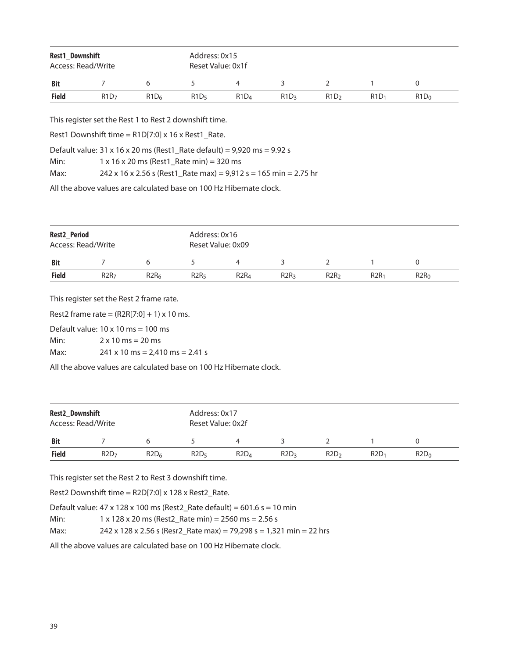| Rest1_Downshift<br>Access: Read/Write |                  |                  |                  | Address: 0x15<br>Reset Value: 0x1f |                  |                  |         |         |  |  |
|---------------------------------------|------------------|------------------|------------------|------------------------------------|------------------|------------------|---------|---------|--|--|
| <b>Bit</b>                            |                  | 6                |                  |                                    |                  |                  |         |         |  |  |
| <b>Field</b>                          | R1D <sub>7</sub> | R1D <sub>6</sub> | R1D <sub>5</sub> | R1D <sub>4</sub>                   | R1D <sub>3</sub> | R1D <sub>2</sub> | $R1D_1$ | $R1D_0$ |  |  |
|                                       |                  |                  |                  |                                    |                  |                  |         |         |  |  |

This register set the Rest 1 to Rest 2 downshift time.

Rest1 Downshift time =  $R1D[7:0] \times 16 \times R$ est1\_Rate.

Default value: 31 x 16 x 20 ms (Rest1\_Rate default) = 9,920 ms = 9.92 s

Min: 1 x 16 x 20 ms (Rest1\_Rate min) = 320 ms

Max: 242 x 16 x 2.56 s (Rest1\_Rate max) = 9,912 s = 165 min = 2.75 hr

All the above values are calculated base on 100 Hz Hibernate clock.

| Rest2_Period<br>Access: Read/Write |                  |                  |                  | Address: 0x16<br>Reset Value: 0x09 |                  |                  |         |                  |  |  |  |
|------------------------------------|------------------|------------------|------------------|------------------------------------|------------------|------------------|---------|------------------|--|--|--|
| <b>Bit</b>                         |                  |                  |                  |                                    |                  |                  |         |                  |  |  |  |
| <b>Field</b>                       | R2R <sub>7</sub> | R2R <sub>6</sub> | R2R <sub>5</sub> | R2R <sub>4</sub>                   | R2R <sub>3</sub> | R2R <sub>2</sub> | $R2R_1$ | R2R <sub>0</sub> |  |  |  |

This register set the Rest 2 frame rate.

Rest2 frame rate =  $(R2R[7:0] + 1) \times 10$  ms.

Default value:  $10 \times 10$  ms =  $100$  ms

Min:  $2 \times 10 \text{ ms} = 20 \text{ ms}$ 

Max: 241 x 10 ms = 2,410 ms = 2.41 s

All the above values are calculated base on 100 Hz Hibernate clock.

| Rest2_Downshift<br>Access: Read/Write |                  |                  |                  | Address: 0x17<br>Reset Value: 0x2f |                  |                  |         |         |  |  |  |
|---------------------------------------|------------------|------------------|------------------|------------------------------------|------------------|------------------|---------|---------|--|--|--|
| <b>Bit</b>                            |                  |                  |                  |                                    |                  |                  |         |         |  |  |  |
| <b>Field</b>                          | R2D <sub>7</sub> | R2D <sub>6</sub> | R2D <sub>5</sub> | R2D <sub>4</sub>                   | R2D <sub>3</sub> | R2D <sub>2</sub> | $R2D_1$ | $R2D_0$ |  |  |  |

This register set the Rest 2 to Rest 3 downshift time.

Rest2 Downshift time = R2D[7:0] x 128 x Rest2\_Rate.

Default value:  $47 \times 128 \times 100$  ms (Rest2\_Rate default) =  $601.6$  s = 10 min

Min: 1 x 128 x 20 ms (Rest2\_Rate min) = 2560 ms = 2.56 s

Max: 242 x 128 x 2.56 s (Resr2\_Rate max) = 79,298 s = 1,321 min = 22 hrs

All the above values are calculated base on 100 Hz Hibernate clock.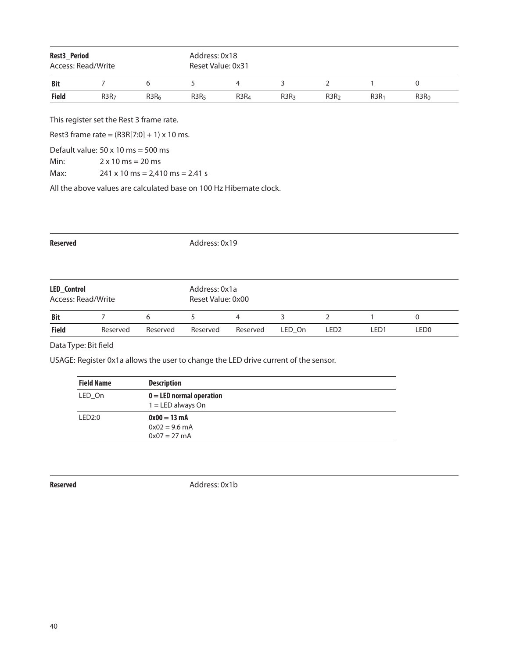| Rest3_Period<br>Access: Read/Write |                  |                  | Address: 0x18<br>Reset Value: 0x31 |                  |                  |                  |                  |                  |  |  |
|------------------------------------|------------------|------------------|------------------------------------|------------------|------------------|------------------|------------------|------------------|--|--|
| <b>Bit</b>                         |                  | h                |                                    | 4                |                  |                  |                  |                  |  |  |
| <b>Field</b>                       | R3R <sub>7</sub> | R3R <sub>6</sub> | R3R <sub>5</sub>                   | R3R <sub>4</sub> | R3R <sub>3</sub> | R3R <sub>2</sub> | R3R <sub>1</sub> | R3R <sub>0</sub> |  |  |

This register set the Rest 3 frame rate.

Rest3 frame rate =  $(R3R[7:0] + 1) \times 10$  ms.

Default value:  $50 \times 10$  ms =  $500$  ms

Min:  $2 \times 10 \text{ ms} = 20 \text{ ms}$ 

Max: 241 x 10 ms = 2,410 ms = 2.41 s

All the above values are calculated base on 100 Hz Hibernate clock.

| <b>Reserved</b>                   |          |          |                                    | Address: 0x19 |        |                  |      |                  |  |  |  |
|-----------------------------------|----------|----------|------------------------------------|---------------|--------|------------------|------|------------------|--|--|--|
| LED_Control<br>Access: Read/Write |          |          | Address: 0x1a<br>Reset Value: 0x00 |               |        |                  |      |                  |  |  |  |
| <b>Bit</b>                        |          | 6        |                                    | 4             | 3      | 2                |      | 0                |  |  |  |
| <b>Field</b>                      | Reserved | Reserved | Reserved                           | Reserved      | LED On | LED <sub>2</sub> | LED1 | LED <sub>0</sub> |  |  |  |

Data Type: Bit field

USAGE: Register 0x1a allows the user to change the LED drive current of the sensor.

| <b>Field Name</b> | <b>Description</b>                                  |  |
|-------------------|-----------------------------------------------------|--|
| LED On            | $0 =$ LED normal operation<br>$1 = LED$ always On   |  |
| LED2:0            | $0x00 = 13$ mA<br>$0x02 = 9.6$ mA<br>$0x07 = 27$ mA |  |

**Reserved** Address: 0x1b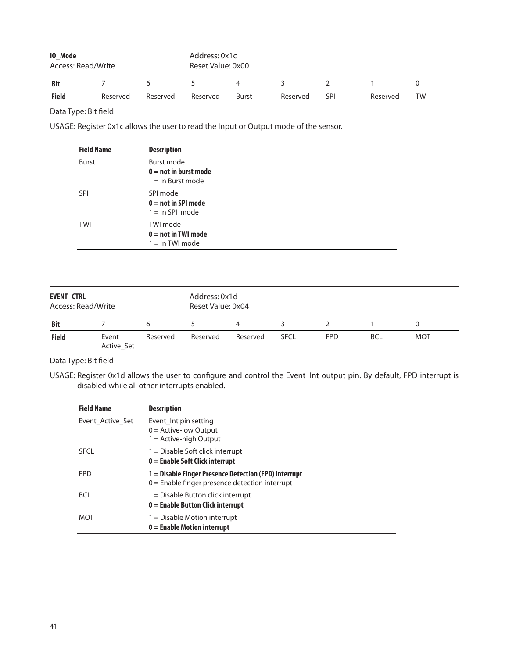| <b>IO_Mode</b><br>Access: Read/Write |          |          | Address: 0x1c<br>Reset Value: 0x00 |       |          |            |          |     |  |  |
|--------------------------------------|----------|----------|------------------------------------|-------|----------|------------|----------|-----|--|--|
| <b>Bit</b>                           |          |          |                                    |       |          |            |          |     |  |  |
| <b>Field</b>                         | Reserved | Reserved | Reserved                           | Burst | Reserved | <b>SPI</b> | Reserved | TWI |  |  |

USAGE: Register 0x1c allows the user to read the Input or Output mode of the sensor.

| <b>Field Name</b> | <b>Description</b>                                            |
|-------------------|---------------------------------------------------------------|
| <b>Burst</b>      | Burst mode<br>$0 =$ not in burst mode<br>$1 = \ln$ Burst mode |
| <b>SPI</b>        | SPI mode<br>$0 = not in SPI mode$<br>$1 = \ln SPI$ mode       |
| TWI               | TWI mode<br>$0 = not in TWI mode$<br>$1 = \ln TWI$ mode       |

| <b>EVENT CTRL</b><br>Access: Read/Write |                     | Address: 0x1d<br>Reset Value: 0x04 |          |          |             |            |            |            |  |
|-----------------------------------------|---------------------|------------------------------------|----------|----------|-------------|------------|------------|------------|--|
| <b>Bit</b>                              |                     | h                                  |          | 4        |             |            |            |            |  |
| <b>Field</b>                            | Event<br>Active_Set | Reserved                           | Reserved | Reserved | <b>SFCL</b> | <b>FPD</b> | <b>BCL</b> | <b>MOT</b> |  |

Data Type: Bit field

USAGE: Register 0x1d allows the user to configure and control the Event\_Int output pin. By default, FPD interrupt is disabled while all other interrupts enabled.

| <b>Field Name</b> | <b>Description</b>                                                                                        |
|-------------------|-----------------------------------------------------------------------------------------------------------|
| Event Active Set  | Event Int pin setting<br>$0 =$ Active-low Output<br>$1 =$ Active-high Output                              |
| <b>SFCL</b>       | $1 =$ Disable Soft click interrupt<br>$0 =$ Enable Soft Click interrupt                                   |
| <b>FPD</b>        | 1 = Disable Finger Presence Detection (FPD) interrupt<br>$0 =$ Enable finger presence detection interrupt |
| <b>BCL</b>        | $1 =$ Disable Button click interrupt<br>$0 =$ Enable Button Click interrupt                               |
| <b>MOT</b>        | $1 =$ Disable Motion interrupt<br>$0 =$ Enable Motion interrupt                                           |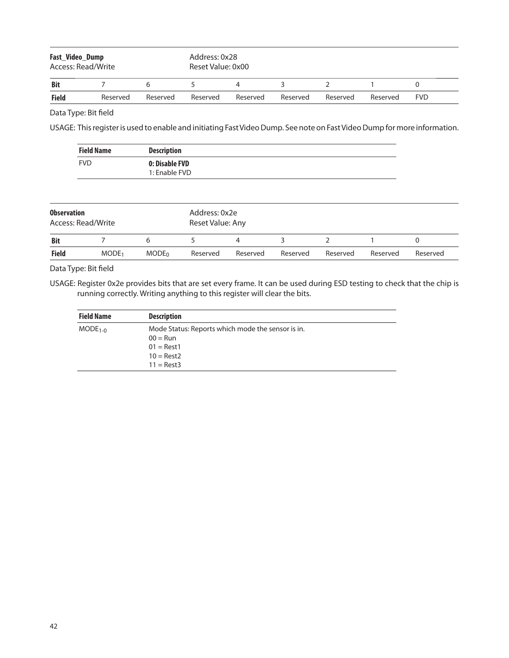| Fast_Video_Dump<br>Access: Read/Write |          |          | Address: 0x28<br>Reset Value: 0x00 |          |          |          |          |            |
|---------------------------------------|----------|----------|------------------------------------|----------|----------|----------|----------|------------|
| <b>Bit</b>                            |          |          |                                    |          |          |          |          |            |
| <b>Field</b>                          | Reserved | Reserved | Reserved                           | Reserved | Reserved | Reserved | Reserved | <b>FVD</b> |

USAGE: This register is used to enable and initiating Fast Video Dump. See note on Fast Video Dump for more information.

|                                          | <b>Field Name</b> | <b>Description</b>              |               |                  |  |  |  |  |  |  |  |
|------------------------------------------|-------------------|---------------------------------|---------------|------------------|--|--|--|--|--|--|--|
| <b>FVD</b>                               |                   | 0: Disable FVD<br>1: Enable FVD |               |                  |  |  |  |  |  |  |  |
|                                          |                   |                                 |               |                  |  |  |  |  |  |  |  |
| <b>Observation</b><br>Access: Read/Write |                   |                                 | Address: 0x2e | Reset Value: Any |  |  |  |  |  |  |  |
| <b>Bit</b>                               |                   | 6                               |               |                  |  |  |  |  |  |  |  |

#### Data Type: Bit field

USAGE: Register 0x2e provides bits that are set every frame. It can be used during ESD testing to check that the chip is running correctly. Writing anything to this register will clear the bits.

**Field** MODE<sub>1</sub> MODE<sub>0</sub> Reserved Reserved Reserved Reserved Reserved Reserved Reserved

| <b>Field Name</b> | <b>Description</b>                                                                                                     |  |
|-------------------|------------------------------------------------------------------------------------------------------------------------|--|
| $MODE1-0$         | Mode Status: Reports which mode the sensor is in.<br>$00 = \text{Run}$<br>$01 = Rest1$<br>$10 =$ Rest2<br>$11 = Rest3$ |  |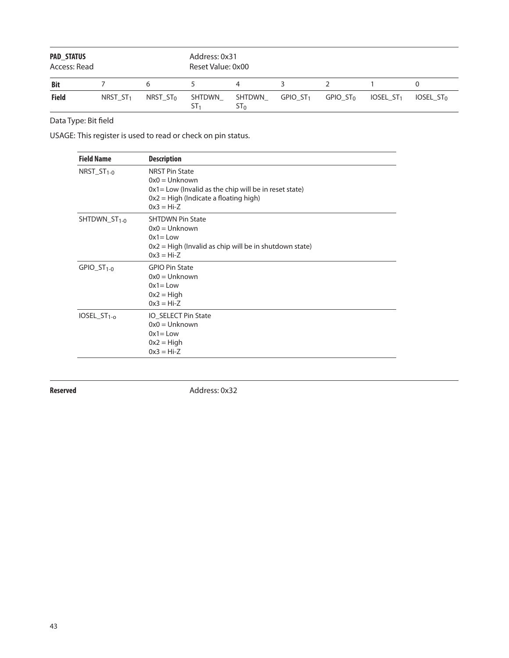| <b>PAD STATUS</b><br>Access: Read |            |             | Address: 0x31<br>Reset Value: 0x00 |                  |                        |                      |             |                       |
|-----------------------------------|------------|-------------|------------------------------------|------------------|------------------------|----------------------|-------------|-----------------------|
| <b>Bit</b>                        |            | 6           |                                    |                  | 2                      |                      |             |                       |
| <b>Field</b>                      | NRST $ST1$ | NRST $ST_0$ | SHTDWN<br>ST <sub>1</sub>          | SHTDWN<br>$ST_0$ | $GPIO$ ST <sub>1</sub> | GPIO ST <sub>0</sub> | IOSEL $ST1$ | IOSEL ST <sub>0</sub> |

USAGE: This register is used to read or check on pin status.

| <b>Field Name</b>          | <b>Description</b>                                                                                                                                              |
|----------------------------|-----------------------------------------------------------------------------------------------------------------------------------------------------------------|
| $NRST_ST_{1-0}$            | <b>NRST Pin State</b><br>$0x0 = Unknown$<br>$0x1 = Low$ (Invalid as the chip will be in reset state)<br>$0x2 = High (Indicate a floating high)$<br>$0x3 = Hi-Z$ |
| SHTDWN_ST <sub>1-0</sub>   | <b>SHTDWN Pin State</b><br>$0x0 = Uh$ known<br>$0x1 = Low$<br>$0x2$ = High (Invalid as chip will be in shutdown state)<br>$0x3 = Hi-Z$                          |
| $GPIO_ST1-0$               | <b>GPIO Pin State</b><br>$0x0 = Uh$ known<br>$0x1 = Low$<br>$0x2 = High$<br>$0x3 = Hi-Z$                                                                        |
| $IOSEL_S$ T <sub>1-0</sub> | IO_SELECT Pin State<br>$0x0 = Unknown$<br>$0x1 = Low$<br>$0x2 = High$<br>$0x3 = Hi-Z$                                                                           |

**Reserved** Address: 0x32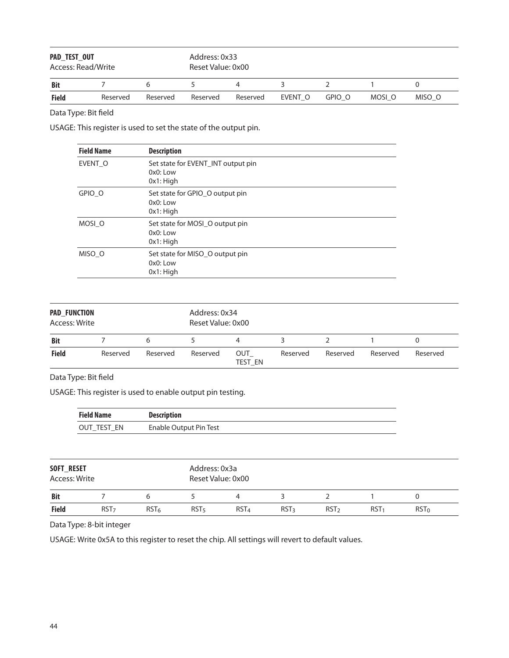| PAD_TEST_OUT<br>Access: Read/Write |          |          | Address: 0x33<br>Reset Value: 0x00 |          |         |        |        |        |
|------------------------------------|----------|----------|------------------------------------|----------|---------|--------|--------|--------|
| <b>Bit</b>                         |          | h        |                                    |          |         |        |        |        |
| <b>Field</b>                       | Reserved | Reserved | Reserved                           | Reserved | EVENT O | GPIO O | MOSI O | MISO O |

USAGE: This register is used to set the state of the output pin.

| <b>Field Name</b> | <b>Description</b>                                               |
|-------------------|------------------------------------------------------------------|
| EVENT O           | Set state for EVENT_INT output pin<br>$0x0:$ Low<br>$0x1$ : High |
| GPIO O            | Set state for GPIO_O output pin<br>$0x0:$ Low<br>$0x1:$ High     |
| MOSI O            | Set state for MOSI O output pin<br>$0x0:$ Low<br>$0x1:$ High     |
| MISO O            | Set state for MISO O output pin<br>0x0: Low<br>$0x1:$ High       |

| <b>PAD FUNCTION</b><br>Access: Write |          |          | Address: 0x34<br>Reset Value: 0x00 |                       |          |          |          |          |
|--------------------------------------|----------|----------|------------------------------------|-----------------------|----------|----------|----------|----------|
| <b>Bit</b>                           |          | h        |                                    | 4                     |          |          |          |          |
| <b>Field</b>                         | Reserved | Reserved | Reserved                           | OUT<br><b>TEST EN</b> | Reserved | Reserved | Reserved | Reserved |

Data Type: Bit field

USAGE: This register is used to enable output pin testing.

| Field Name  | <b>Description</b>     |
|-------------|------------------------|
| OUT TEST EN | Enable Output Pin Test |

| SOFT_RESET<br>Access: Write |                  |                  | Address: 0x3a<br>Reset Value: 0x00 |                  |                  |                  |                  |         |  |  |
|-----------------------------|------------------|------------------|------------------------------------|------------------|------------------|------------------|------------------|---------|--|--|
| <b>Bit</b>                  |                  |                  |                                    | 4                |                  |                  |                  |         |  |  |
| <b>Field</b>                | RST <sub>7</sub> | RST <sub>6</sub> | RST <sub>5</sub>                   | RST <sub>4</sub> | RST <sub>3</sub> | RST <sub>2</sub> | RST <sub>1</sub> | $RST_0$ |  |  |

Data Type: 8-bit integer

USAGE: Write 0x5A to this register to reset the chip. All settings will revert to default values.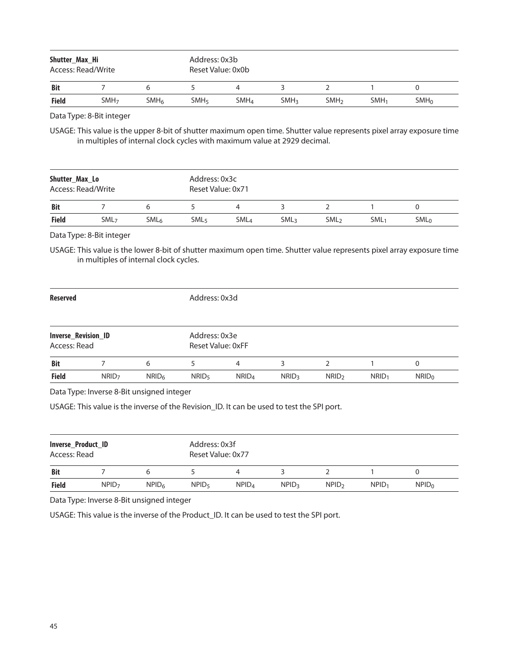| Shutter Max Hi<br>Access: Read/Write |                  |                  | Address: 0x3b<br>Reset Value: 0x0b |                  |                  |                  |                  |                  |  |
|--------------------------------------|------------------|------------------|------------------------------------|------------------|------------------|------------------|------------------|------------------|--|
| <b>Bit</b>                           |                  |                  |                                    |                  |                  |                  |                  |                  |  |
| <b>Field</b>                         | SMH <sub>7</sub> | SMH <sub>6</sub> | SMH <sub>5</sub>                   | SMH <sub>4</sub> | SMH <sub>3</sub> | SMH <sub>2</sub> | SMH <sub>1</sub> | SMH <sub>0</sub> |  |

Data Type: 8-Bit integer

USAGE: This value is the upper 8-bit of shutter maximum open time. Shutter value represents pixel array exposure time in multiples of internal clock cycles with maximum value at 2929 decimal.

| Shutter_Max_Lo<br>Access: Read/Write |                  |                  |                  | Address: 0x3c<br>Reset Value: 0x71 |                  |                  |                  |         |  |  |  |
|--------------------------------------|------------------|------------------|------------------|------------------------------------|------------------|------------------|------------------|---------|--|--|--|
| <b>Bit</b>                           |                  |                  |                  | 4                                  |                  |                  |                  |         |  |  |  |
| <b>Field</b>                         | SML <sub>7</sub> | SML <sub>6</sub> | SML <sub>5</sub> | <b>SML</b> <sub>4</sub>            | SML <sub>3</sub> | SML <sub>2</sub> | SML <sub>1</sub> | $SML_0$ |  |  |  |

Data Type: 8-Bit integer

USAGE: This value is the lower 8-bit of shutter maximum open time. Shutter value represents pixel array exposure time in multiples of internal clock cycles.

| <b>Reserved</b>                            |                   |                   | Address: 0x3d                      |                   |              |                   |          |                   |
|--------------------------------------------|-------------------|-------------------|------------------------------------|-------------------|--------------|-------------------|----------|-------------------|
| <b>Inverse_Revision_ID</b><br>Access: Read |                   |                   | Address: 0x3e<br>Reset Value: 0xFF |                   |              |                   |          |                   |
| <b>Bit</b>                                 |                   | 6                 |                                    | 4                 | 3            | 2                 |          | 0                 |
| <b>Field</b>                               | NRID <sub>7</sub> | NRID <sub>6</sub> | NRID <sub>5</sub>                  | NRID <sub>4</sub> | <b>NRID3</b> | NRID <sub>2</sub> | $NRID_1$ | NRID <sub>0</sub> |

Data Type: Inverse 8-Bit unsigned integer

USAGE: This value is the inverse of the Revision\_ID. It can be used to test the SPI port.

| Inverse_Product_ID<br>Access: Read |                   |                   |                   | Address: 0x3f<br>Reset Value: 0x77 |                   |                   |                   |                   |  |  |  |
|------------------------------------|-------------------|-------------------|-------------------|------------------------------------|-------------------|-------------------|-------------------|-------------------|--|--|--|
| <b>Bit</b>                         |                   | h                 |                   |                                    |                   |                   |                   |                   |  |  |  |
| <b>Field</b>                       | NPID <sub>7</sub> | NPID <sub>6</sub> | NPID <sub>5</sub> | NPID <sub>4</sub>                  | NPID <sub>3</sub> | NPID <sub>2</sub> | NPID <sub>1</sub> | NPID <sub>0</sub> |  |  |  |

Data Type: Inverse 8-Bit unsigned integer

USAGE: This value is the inverse of the Product\_ID. It can be used to test the SPI port.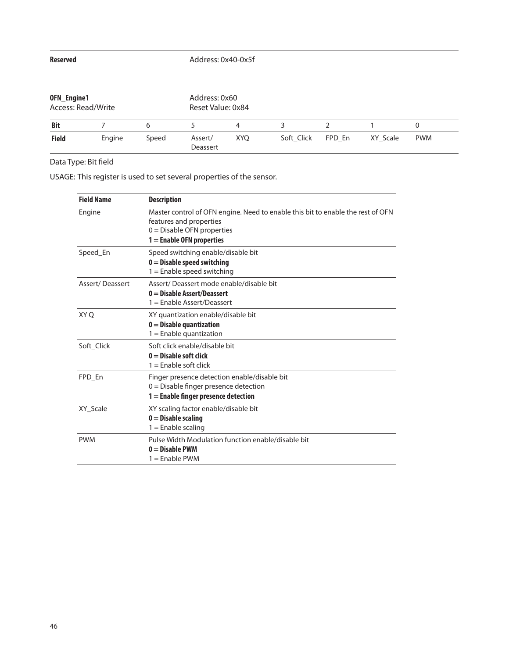#### **Reserved** Address: 0x40-0x5f

| OFN_Engine1<br>Access: Read/Write |        |       | Address: 0x60<br>Reset Value: 0x84 |            |            |        |          |            |  |  |
|-----------------------------------|--------|-------|------------------------------------|------------|------------|--------|----------|------------|--|--|
| <b>Bit</b>                        |        | 6     |                                    | 4          |            |        |          |            |  |  |
| <b>Field</b>                      | Engine | Speed | Assert/<br>Deassert                | <b>XYO</b> | Soft Click | FPD En | XY Scale | <b>PWM</b> |  |  |

Data Type: Bit field

USAGE: This register is used to set several properties of the sensor.

| <b>Field Name</b>      | <b>Description</b>                                                                                                                                                        |
|------------------------|---------------------------------------------------------------------------------------------------------------------------------------------------------------------------|
| Engine                 | Master control of OFN engine. Need to enable this bit to enable the rest of OFN<br>features and properties<br>$0 =$ Disable OFN properties<br>$1 =$ Enable OFN properties |
| Speed En               | Speed switching enable/disable bit<br>$0 =$ Disable speed switching<br>$1 =$ Enable speed switching                                                                       |
| <b>Assert/Deassert</b> | Assert/Deassert mode enable/disable bit<br>$0 = Disable Asset/Deasser$<br>$1 =$ Enable Assert/Deassert                                                                    |
| XY O                   | XY quantization enable/disable bit<br>$0 =$ Disable quantization<br>$1 =$ Enable quantization                                                                             |
| Soft Click             | Soft click enable/disable bit<br>$0 = Disable soft click$<br>$1 =$ Enable soft click                                                                                      |
| FPD En                 | Finger presence detection enable/disable bit<br>$0 =$ Disable finger presence detection<br>$1 =$ Enable finger presence detection                                         |
| XY Scale               | XY scaling factor enable/disable bit<br>$0 =$ Disable scaling<br>$1 =$ Enable scaling                                                                                     |
| <b>PWM</b>             | Pulse Width Modulation function enable/disable bit<br>$0 = Disable PWM$<br>1 = Enable PWM                                                                                 |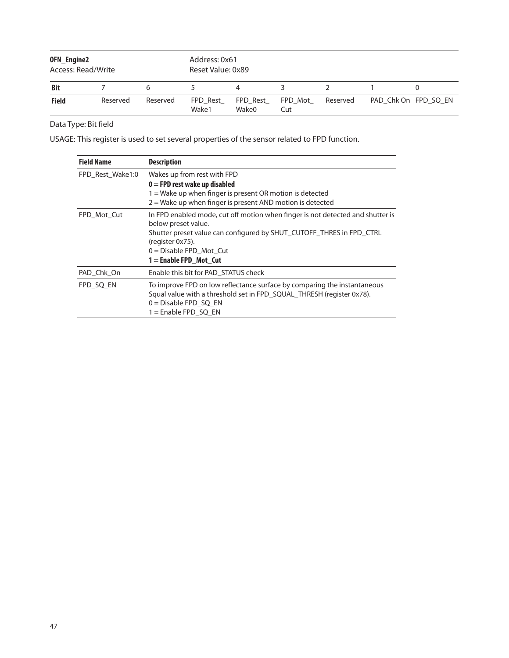| OFN_Engine2<br>Access: Read/Write |          |          | Address: 0x61<br>Reset Value: 0x89 |                   |                |          |                      |  |  |
|-----------------------------------|----------|----------|------------------------------------|-------------------|----------------|----------|----------------------|--|--|
| <b>Bit</b>                        |          |          |                                    | 4                 |                |          |                      |  |  |
| <b>Field</b>                      | Reserved | Reserved | FPD Rest<br>Wake1                  | FPD Rest<br>Wake0 | FPD Mot<br>Cut | Reserved | PAD Chk On FPD SQ EN |  |  |

USAGE: This register is used to set several properties of the sensor related to FPD function.

| <b>Field Name</b> | <b>Description</b>                                                                                                                                                                                                                                          |  |  |  |  |  |
|-------------------|-------------------------------------------------------------------------------------------------------------------------------------------------------------------------------------------------------------------------------------------------------------|--|--|--|--|--|
| FPD Rest Wake1:0  | Wakes up from rest with FPD<br>$0 =$ FPD rest wake up disabled<br>1 = Wake up when finger is present OR motion is detected<br>$2 =$ Wake up when finger is present AND motion is detected                                                                   |  |  |  |  |  |
| FPD Mot Cut       | In FPD enabled mode, cut off motion when finger is not detected and shutter is<br>below preset value.<br>Shutter preset value can configured by SHUT_CUTOFF_THRES in FPD_CTRL<br>(register 0x75).<br>$0 = Distance FPD_Mot_Cut$<br>$1 =$ Enable FPD Mot Cut |  |  |  |  |  |
| PAD Chk On        | Enable this bit for PAD_STATUS check                                                                                                                                                                                                                        |  |  |  |  |  |
| FPD SQ EN         | To improve FPD on low reflectance surface by comparing the instantaneous<br>Squal value with a threshold set in FPD SQUAL THRESH (register 0x78).<br>$0 = Disable FPD SQ EN$<br>$1 =$ Enable FPD SQ EN                                                      |  |  |  |  |  |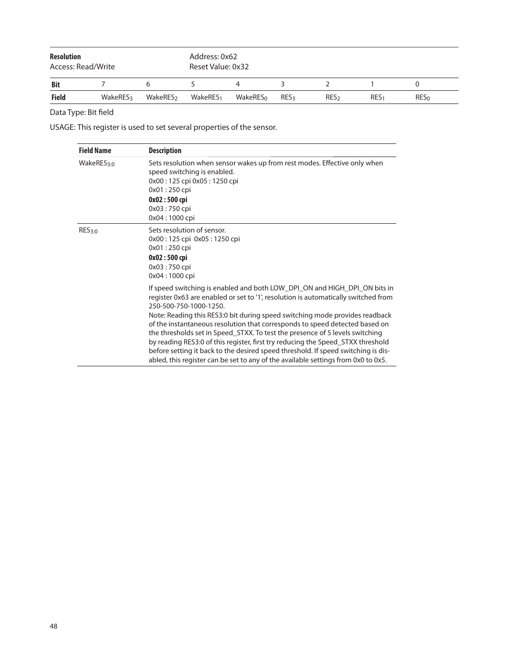| <b>Resolution</b><br>Access: Read/Write |                 |                      | Address: 0x62<br>Reset Value: 0x32 |          |             |                  |                  |            |  |
|-----------------------------------------|-----------------|----------------------|------------------------------------|----------|-------------|------------------|------------------|------------|--|
| Bit                                     |                 |                      |                                    |          |             |                  |                  |            |  |
| <b>Field</b>                            | <b>WakeRES3</b> | WakeRES <sub>2</sub> | WakeRES <sub>1</sub>               | WakeRESo | <b>RES3</b> | RES <sub>2</sub> | RES <sub>1</sub> | <b>RES</b> |  |

USAGE: This register is used to set several properties of the sensor.

| <b>Field Name</b>      | <b>Description</b>                                                                                                                                                                                                                                                                                                                                                                                                                                                                                                                                                                                                                                                                                   |
|------------------------|------------------------------------------------------------------------------------------------------------------------------------------------------------------------------------------------------------------------------------------------------------------------------------------------------------------------------------------------------------------------------------------------------------------------------------------------------------------------------------------------------------------------------------------------------------------------------------------------------------------------------------------------------------------------------------------------------|
| WakeRES <sub>3:0</sub> | Sets resolution when sensor wakes up from rest modes. Effective only when<br>speed switching is enabled.<br>0x00:125 cpi 0x05:1250 cpi<br>0x01:250 cpi<br>$0x02:500$ cpi<br>$0x03:750$ cpi<br>0x04:1000 cpi                                                                                                                                                                                                                                                                                                                                                                                                                                                                                          |
| RES <sub>3:0</sub>     | Sets resolution of sensor.<br>0x00:125 cpi 0x05:1250 cpi<br>0x01:250 cpi<br>0x02:500 cpi<br>0x03:750 cpi<br>0x04:1000 cpi                                                                                                                                                                                                                                                                                                                                                                                                                                                                                                                                                                            |
|                        | If speed switching is enabled and both LOW_DPI_ON and HIGH_DPI_ON bits in<br>register 0x63 are enabled or set to '1', resolution is automatically switched from<br>250-500-750-1000-1250.<br>Note: Reading this RES3:0 bit during speed switching mode provides readback<br>of the instantaneous resolution that corresponds to speed detected based on<br>the thresholds set in Speed_STXX. To test the presence of 5 levels switching<br>by reading RES3:0 of this register, first try reducing the Speed_STXX threshold<br>before setting it back to the desired speed threshold. If speed switching is dis-<br>abled, this register can be set to any of the available settings from 0x0 to 0x5. |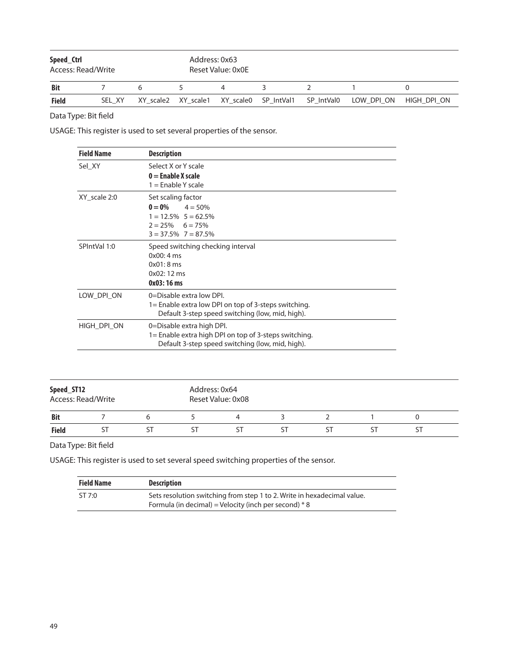| Speed_Ctrl<br>Access: Read/Write |        |   | Address: 0x63<br>Reset Value: 0x0E |   |  |                                                                |             |  |
|----------------------------------|--------|---|------------------------------------|---|--|----------------------------------------------------------------|-------------|--|
| <b>Bit</b>                       |        | h | 4                                  | 3 |  |                                                                |             |  |
| <b>Field</b>                     | SEL XY |   |                                    |   |  | XY scale2 XY scale1 XY scale0 SP IntVal1 SP IntVal0 LOW DPI ON | HIGH DPI ON |  |

USAGE: This register is used to set several properties of the sensor.

| <b>Field Name</b> | <b>Description</b>                                                                                                                      |
|-------------------|-----------------------------------------------------------------------------------------------------------------------------------------|
| Sel XY            | Select X or Y scale<br>$0 =$ Enable X scale<br>$1 =$ Enable Y scale                                                                     |
| XY scale 2:0      | Set scaling factor<br>$0 = 0\%$<br>$4 = 50%$<br>$1 = 12.5\%$ 5 = 62.5%<br>$2 = 25\%$ 6 = 75%<br>$3 = 37.5\%$ 7 = 87.5%                  |
| SPIntVal 1:0      | Speed switching checking interval<br>0x00:4ms<br>0x01:8ms<br>$0x02:12 \text{ ms}$<br>0x03:16 ms                                         |
| LOW DPI ON        | $0 = Disable extra low DPL$<br>1= Enable extra low DPI on top of 3-steps switching.<br>Default 3-step speed switching (low, mid, high). |
| HIGH DPI ON       | 0=Disable extra high DPI.<br>1= Enable extra high DPI on top of 3-steps switching.<br>Default 3-step speed switching (low, mid, high).  |

| Speed_ST12<br>Access: Read/Write |  |  | Address: 0x64<br>Reset Value: 0x08 |  |  |  |  |  |
|----------------------------------|--|--|------------------------------------|--|--|--|--|--|
| <b>Bit</b>                       |  |  |                                    |  |  |  |  |  |
| Field                            |  |  |                                    |  |  |  |  |  |

Data Type: Bit field

USAGE: This register is used to set several speed switching properties of the sensor.

| <b>Field Name</b> | <b>Description</b>                                                                                                                 |
|-------------------|------------------------------------------------------------------------------------------------------------------------------------|
| ST7:0             | Sets resolution switching from step 1 to 2. Write in hexadecimal value.<br>Formula (in decimal) = Velocity (inch per second) $* 8$ |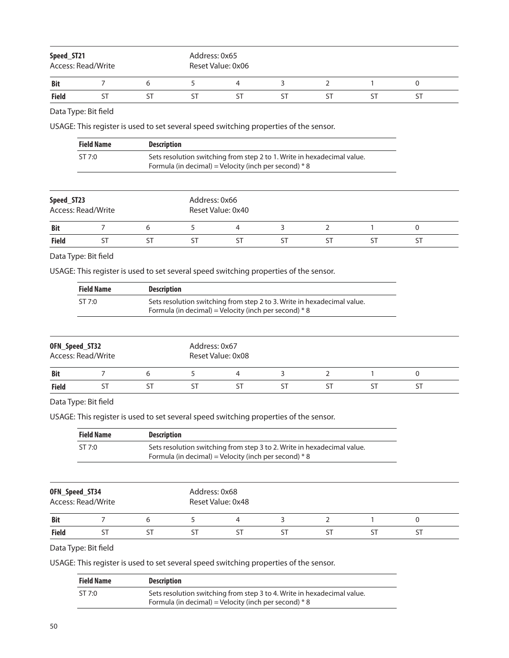| Speed_ST21<br>Access: Read/Write |  |  |    | Address: 0x65<br>Reset Value: 0x06 |  |  |  |  |  |  |
|----------------------------------|--|--|----|------------------------------------|--|--|--|--|--|--|
| <b>Bit</b>                       |  |  |    |                                    |  |  |  |  |  |  |
| Field                            |  |  | וכ |                                    |  |  |  |  |  |  |

USAGE: This register is used to set several speed switching properties of the sensor.

| <b>Field Name</b> | <b>Description</b>                                                      |
|-------------------|-------------------------------------------------------------------------|
| ST7:0             | Sets resolution switching from step 2 to 1. Write in hexadecimal value. |
|                   | Formula (in decimal) = Velocity (inch per second) $* 8$                 |

| Speed_ST23<br>Access: Read/Write |  |  | Address: 0x66<br>Reset Value: 0x40 |  |  |  |  |  |  |
|----------------------------------|--|--|------------------------------------|--|--|--|--|--|--|
| <b>Bit</b>                       |  |  |                                    |  |  |  |  |  |  |
| <b>Field</b>                     |  |  |                                    |  |  |  |  |  |  |

Data Type: Bit field

USAGE: This register is used to set several speed switching properties of the sensor.

| <b>Field Name</b> | <b>Description</b>                                                                                                                 |
|-------------------|------------------------------------------------------------------------------------------------------------------------------------|
| ST 7:0            | Sets resolution switching from step 2 to 3. Write in hexadecimal value.<br>Formula (in decimal) = Velocity (inch per second) $* 8$ |

| OFN_Speed_ST32<br>Access: Read/Write |  |  | Address: 0x67<br>Reset Value: 0x08 |  |  |  |  |  |  |
|--------------------------------------|--|--|------------------------------------|--|--|--|--|--|--|
| <b>Bit</b>                           |  |  |                                    |  |  |  |  |  |  |
| Field                                |  |  |                                    |  |  |  |  |  |  |

# Data Type: Bit field

USAGE: This register is used to set several speed switching properties of the sensor.

| <b>Field Name</b> | <b>Description</b>                                                                                                                 |
|-------------------|------------------------------------------------------------------------------------------------------------------------------------|
| STZ:0             | Sets resolution switching from step 3 to 2. Write in hexadecimal value.<br>Formula (in decimal) = Velocity (inch per second) $* 8$ |

| OFN_Speed_ST34<br>Access: Read/Write |  |  | Address: 0x68<br>Reset Value: 0x48 |  |  |  |  |  |  |
|--------------------------------------|--|--|------------------------------------|--|--|--|--|--|--|
| <b>Bit</b>                           |  |  |                                    |  |  |  |  |  |  |
| <b>Field</b>                         |  |  |                                    |  |  |  |  |  |  |

Data Type: Bit field

USAGE: This register is used to set several speed switching properties of the sensor.

| <b>Field Name</b> | <b>Description</b>                                                      |
|-------------------|-------------------------------------------------------------------------|
| STZ:0             | Sets resolution switching from step 3 to 4. Write in hexadecimal value. |
|                   | Formula (in decimal) = Velocity (inch per second) $* 8$                 |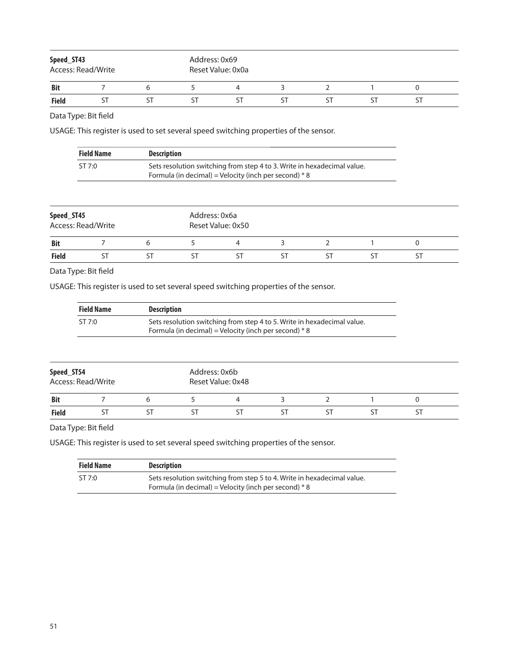| Speed_ST43<br>Access: Read/Write |  | Address: 0x69<br>Reset Value: 0x0a |  |  |  |  |  |  |
|----------------------------------|--|------------------------------------|--|--|--|--|--|--|
| <b>Bit</b>                       |  |                                    |  |  |  |  |  |  |
| <b>Field</b>                     |  |                                    |  |  |  |  |  |  |

USAGE: This register is used to set several speed switching properties of the sensor.

| <b>Field Name</b> | <b>Description</b>                                                                                                                 |
|-------------------|------------------------------------------------------------------------------------------------------------------------------------|
| ST 7:0            | Sets resolution switching from step 4 to 3. Write in hexadecimal value.<br>Formula (in decimal) = Velocity (inch per second) $* 8$ |

| Speed_ST45<br>Access: Read/Write |  |  | Address: 0x6a<br>Reset Value: 0x50 |  |  |  |  |  |  |
|----------------------------------|--|--|------------------------------------|--|--|--|--|--|--|
| <b>Bit</b>                       |  |  |                                    |  |  |  |  |  |  |
| <b>Field</b>                     |  |  |                                    |  |  |  |  |  |  |

Data Type: Bit field

USAGE: This register is used to set several speed switching properties of the sensor.

| <b>Field Name</b> | <b>Description</b>                                                                                                                 |
|-------------------|------------------------------------------------------------------------------------------------------------------------------------|
| ST 7:0            | Sets resolution switching from step 4 to 5. Write in hexadecimal value.<br>Formula (in decimal) = Velocity (inch per second) $* 8$ |

| Speed_ST54<br>Access: Read/Write |  |     | Address: 0x6b<br>Reset Value: 0x48 |  |  |  |  |  |  |  |
|----------------------------------|--|-----|------------------------------------|--|--|--|--|--|--|--|
| <b>Bit</b>                       |  |     |                                    |  |  |  |  |  |  |  |
| <b>Field</b>                     |  | \ I |                                    |  |  |  |  |  |  |  |

Data Type: Bit field

USAGE: This register is used to set several speed switching properties of the sensor.

| <b>Field Name</b> | <b>Description</b>                                                      |
|-------------------|-------------------------------------------------------------------------|
| ST 7:0            | Sets resolution switching from step 5 to 4. Write in hexadecimal value. |
|                   | Formula (in decimal) = Velocity (inch per second) $* 8$                 |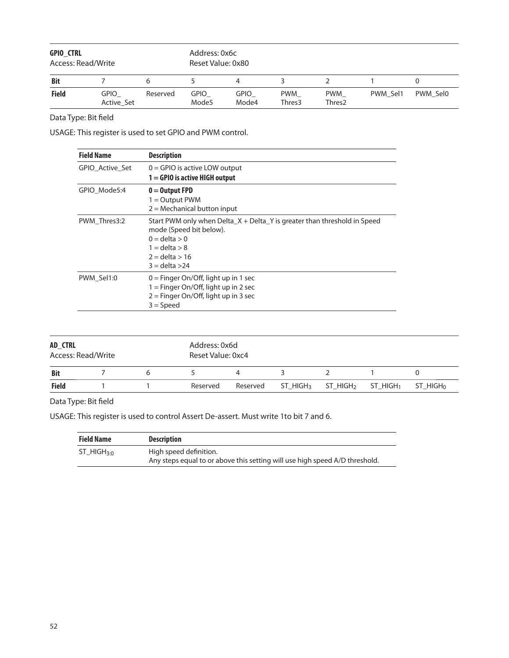| <b>GPIO CTRL</b><br>Access: Read/Write |                           |          | Address: 0x6c<br>Reset Value: 0x80 |               |               |                                  |          |          |  |
|----------------------------------------|---------------------------|----------|------------------------------------|---------------|---------------|----------------------------------|----------|----------|--|
| <b>Bit</b>                             |                           |          |                                    | 4             |               |                                  |          |          |  |
| <b>Field</b>                           | <b>GPIO</b><br>Active Set | Reserved | <b>GPIO</b><br>Mode <sub>5</sub>   | gpio<br>Mode4 | PWM<br>Thres3 | <b>PWM</b><br>Thres <sub>2</sub> | PWM Sel1 | PWM Sel0 |  |

USAGE: This register is used to set GPIO and PWM control.

| <b>Field Name</b> | <b>Description</b>                                                                                                                                                                       |
|-------------------|------------------------------------------------------------------------------------------------------------------------------------------------------------------------------------------|
| GPIO Active Set   | $0 =$ GPIO is active LOW output<br>$1 = 6P10$ is active HIGH output                                                                                                                      |
| GPIO Mode5:4      | $0 =$ Output FPD<br>$1 =$ Output PWM<br>$2$ = Mechanical button input                                                                                                                    |
| PWM_Thres3:2      | Start PWM only when Delta $X +$ Delta $Y$ is greater than threshold in Speed<br>mode (Speed bit below).<br>$0 =$ delta $> 0$<br>$1 =$ delta > 8<br>$2 =$ delta $> 16$<br>$3 =$ delta >24 |
| PWM Sel1:0        | $0 =$ Finger On/Off, light up in 1 sec<br>$1 =$ Finger On/Off, light up in 2 sec<br>$2 =$ Finger On/Off, light up in 3 sec<br>$3 = Speed$                                                |

| AD_CTRL<br>Access: Read/Write |  |  |          | Address: 0x6d<br>Reset Value: 0xc4 |                      |                      |                |                      |  |  |  |
|-------------------------------|--|--|----------|------------------------------------|----------------------|----------------------|----------------|----------------------|--|--|--|
| <b>Bit</b>                    |  |  |          | 4                                  |                      |                      |                |                      |  |  |  |
| <b>Field</b>                  |  |  | Reserved | Reserved                           | ST HIGH <sub>3</sub> | ST HIGH <sub>2</sub> | $ST$ HIGH $_1$ | ST HIGH <sub>0</sub> |  |  |  |

Data Type: Bit field

USAGE: This register is used to control Assert De-assert. Must write 1to bit 7 and 6.

| <b>Field Name</b>      | <b>Description</b>                                                          |
|------------------------|-----------------------------------------------------------------------------|
| ST HIGH <sub>3:0</sub> | High speed definition.                                                      |
|                        | Any steps equal to or above this setting will use high speed A/D threshold. |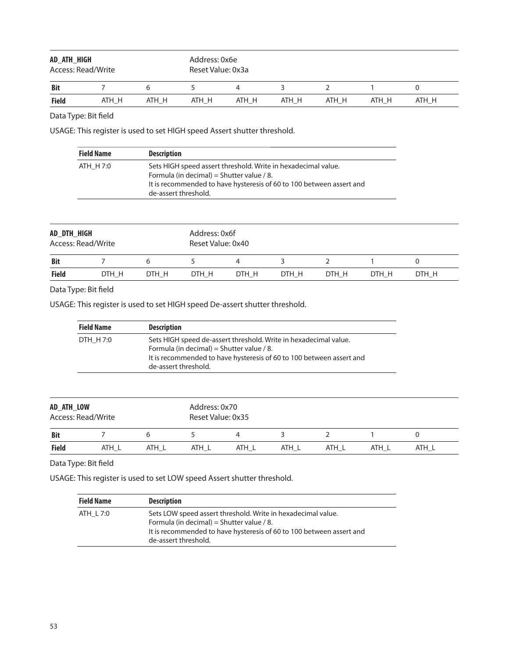| AD_ATH_HIGH<br>Access: Read/Write |       |       | Address: 0x6e<br>Reset Value: 0x3a |       |       |       |       |       |  |
|-----------------------------------|-------|-------|------------------------------------|-------|-------|-------|-------|-------|--|
| Bit                               |       | h     |                                    | 4     |       |       |       |       |  |
| <b>Field</b>                      | ATH H | ATH H | ATH H                              | ATH H | ATH H | ATH H | ATH H | ATH H |  |

USAGE: This register is used to set HIGH speed Assert shutter threshold.

| <b>Field Name</b> | <b>Description</b>                                                                                                                                                                                         |
|-------------------|------------------------------------------------------------------------------------------------------------------------------------------------------------------------------------------------------------|
| ATH H 7:0         | Sets HIGH speed assert threshold. Write in hexadecimal value.<br>Formula (in decimal) = Shutter value / 8.<br>It is recommended to have hysteresis of 60 to 100 between assert and<br>de-assert threshold. |

| AD_DTH_HIGH<br>Access: Read/Write |       |       | Address: 0x6f<br>Reset Value: 0x40 |       |       |       |       |       |  |
|-----------------------------------|-------|-------|------------------------------------|-------|-------|-------|-------|-------|--|
| <b>Bit</b>                        |       |       |                                    |       |       |       |       |       |  |
| <b>Field</b>                      | DTH H | DTH H | DTH H                              | DTH H | DTH H | DTH H | DTH H | DTH H |  |

# Data Type: Bit field

USAGE: This register is used to set HIGH speed De-assert shutter threshold.

| <b>Field Name</b><br><b>Description</b>                                        |                                                                                                                                          |
|--------------------------------------------------------------------------------|------------------------------------------------------------------------------------------------------------------------------------------|
| DTH H 7:0<br>Formula (in decimal) = Shutter value / 8.<br>de-assert threshold. | Sets HIGH speed de-assert threshold. Write in hexadecimal value.<br>It is recommended to have hysteresis of 60 to 100 between assert and |

| AD_ATH_LOW<br>Access: Read/Write |       |       | Address: 0x70<br>Reset Value: 0x35 |       |       |       |       |       |  |
|----------------------------------|-------|-------|------------------------------------|-------|-------|-------|-------|-------|--|
| <b>Bit</b>                       |       |       |                                    | 4     |       |       |       |       |  |
| <b>Field</b>                     | ATH L | ATH L | ATH L                              | ATH L | ATH L | ATH L | ATH L | ATH L |  |

Data Type: Bit field

USAGE: This register is used to set LOW speed Assert shutter threshold.

| <b>Field Name</b> | <b>Description</b>                                                                                                                                                                                        |
|-------------------|-----------------------------------------------------------------------------------------------------------------------------------------------------------------------------------------------------------|
| ATH L 7:0         | Sets LOW speed assert threshold. Write in hexadecimal value.<br>Formula (in decimal) = Shutter value / 8.<br>It is recommended to have hysteresis of 60 to 100 between assert and<br>de-assert threshold. |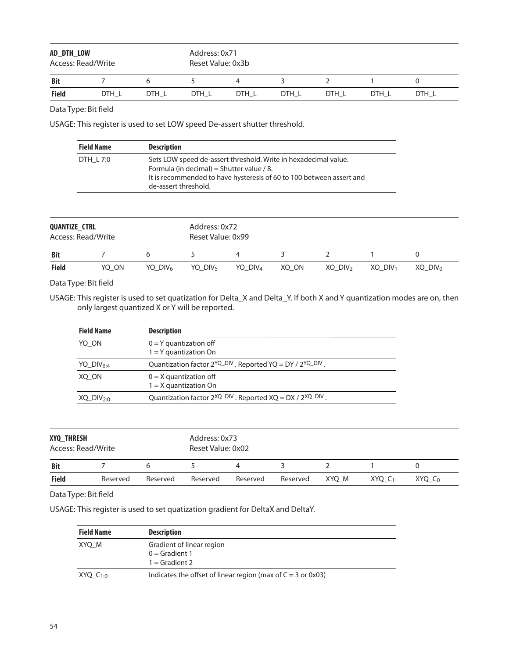| AD DTH LOW<br>Access: Read/Write |       |       | Address: 0x71<br>Reset Value: 0x3b |       |       |       |       |       |  |
|----------------------------------|-------|-------|------------------------------------|-------|-------|-------|-------|-------|--|
| <b>Bit</b>                       |       |       |                                    |       |       |       |       |       |  |
| <b>Field</b>                     | DTH L | DTH L | DTH L                              | DTH L | DTH L | DTH L | DTH L | DTH L |  |

USAGE: This register is used to set LOW speed De-assert shutter threshold.

| <b>Field Name</b> | <b>Description</b>                                                                                                                                                                   |
|-------------------|--------------------------------------------------------------------------------------------------------------------------------------------------------------------------------------|
| DTH L 7:0         | Sets LOW speed de-assert threshold. Write in hexadecimal value.<br>Formula (in decimal) = Shutter value / 8.<br>It is recommended to have hysteresis of 60 to 100 between assert and |
|                   | de-assert threshold.                                                                                                                                                                 |

| <b>QUANTIZE CTRL</b><br>Access: Read/Write |       |           | Address: 0x72<br>Reset Value: 0x99 |                     |       |                     |                       |                     |  |
|--------------------------------------------|-------|-----------|------------------------------------|---------------------|-------|---------------------|-----------------------|---------------------|--|
| <b>Bit</b>                                 |       |           |                                    | 4                   |       |                     |                       |                     |  |
| <b>Field</b>                               | YO ON | YQ $DIV6$ | YQ DIV <sub>5</sub>                | YQ DIV <sub>4</sub> | XQ ON | XQ DIV <sub>2</sub> | $XO$ DIV <sub>1</sub> | XO DIV <sub>0</sub> |  |

Data Type: Bit field

USAGE: This register is used to set quatization for Delta\_X and Delta\_Y. If both X and Y quantization modes are on, then only largest quantized X or Y will be reported.

| <b>Field Name</b>       | <b>Description</b>                                                   |
|-------------------------|----------------------------------------------------------------------|
| YO ON                   | $0 = Y$ quantization off<br>$1 = Y$ quantization On                  |
| YQ $DIV_{6:4}$          | Quantization factor $2^{YQ_DIV}$ . Reported YQ = DY / $2^{YQ_DIV}$   |
| XO ON                   | $0 = X$ quantization off<br>$1 = X$ quantization On                  |
| $XQ$ DIV <sub>2:0</sub> | Quantization factor $2^{XQ_DIV}$ . Reported $XQ = DX / 2^{XQ_DIV}$ . |

| <b>XYQ THRESH</b><br>Access: Read/Write |          |          | Address: 0x73<br>Reset Value: 0x02 |          |          |       |                    |             |  |
|-----------------------------------------|----------|----------|------------------------------------|----------|----------|-------|--------------------|-------------|--|
| <b>Bit</b>                              |          |          |                                    | 4        |          |       |                    |             |  |
| <b>Field</b>                            | Reserved | Reserved | Reserved                           | Reserved | Reserved | XYO M | XYQ C <sub>1</sub> | $XYQ$ $C_0$ |  |

#### Data Type: Bit field

USAGE: This register is used to set quatization gradient for DeltaX and DeltaY.

| <b>Field Name</b> | <b>Description</b>                                                |  |
|-------------------|-------------------------------------------------------------------|--|
| XYQ M             | Gradient of linear region<br>$0 =$ Gradient 1<br>$1 =$ Gradient 2 |  |
| $XYQ$ $C_{10}$    | Indicates the offset of linear region (max of $C = 3$ or 0x03)    |  |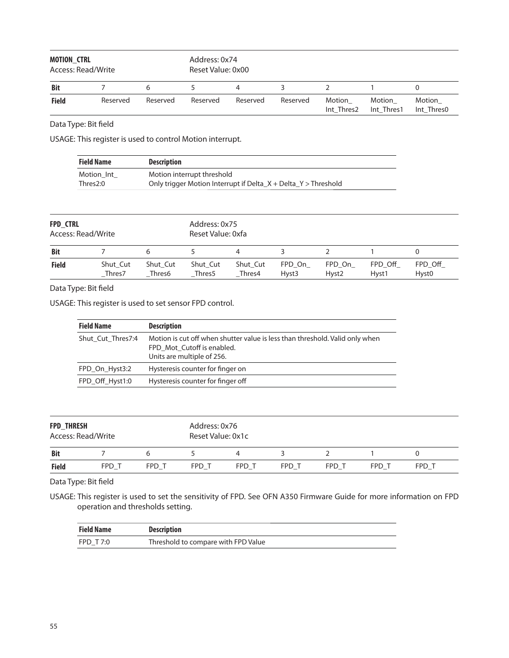| <b>MOTION CTRL</b><br>Access: Read/Write |          |          | Address: 0x74<br>Reset Value: 0x00 |          |          |                      |                      |                      |  |
|------------------------------------------|----------|----------|------------------------------------|----------|----------|----------------------|----------------------|----------------------|--|
| <b>Bit</b>                               |          |          |                                    | 4        |          |                      |                      |                      |  |
| <b>Field</b>                             | Reserved | Reserved | Reserved                           | Reserved | Reserved | Motion<br>Int Thres2 | Motion<br>Int Thres1 | Motion<br>Int Thres0 |  |

USAGE: This register is used to control Motion interrupt.

| <b>Field Name</b> | <b>Description</b>                                                 |
|-------------------|--------------------------------------------------------------------|
| Motion Int        | Motion interrupt threshold                                         |
| Thres2:0          | Only trigger Motion Interrupt if Delta $X +$ Delta $Y >$ Threshold |

| <b>FPD CTRL</b>    |                    |          | Address: 0x75     |          |                   |                   |         |                   |  |
|--------------------|--------------------|----------|-------------------|----------|-------------------|-------------------|---------|-------------------|--|
| Access: Read/Write |                    |          | Reset Value: 0xfa |          |                   |                   |         |                   |  |
| <b>Bit</b>         |                    |          |                   |          |                   |                   |         |                   |  |
| <b>Field</b>       | Shut Cut           | Shut Cut | Shut Cut          | Shut Cut | FPD On            | FPD On            | FPD Off | FPD Off           |  |
|                    | Thres <sub>7</sub> | Thres6   | Thres5            | Thres4   | Hyst <sub>3</sub> | Hyst <sub>2</sub> | Hyst1   | Hyst <sub>0</sub> |  |

#### Data Type: Bit field

USAGE: This register is used to set sensor FPD control.

| <b>Field Name</b> | <b>Description</b>                                                                                                                       |
|-------------------|------------------------------------------------------------------------------------------------------------------------------------------|
| Shut Cut Thres7:4 | Motion is cut off when shutter value is less than threshold. Valid only when<br>FPD Mot Cutoff is enabled.<br>Units are multiple of 256. |
| FPD On Hyst3:2    | Hysteresis counter for finger on                                                                                                         |
| FPD Off Hyst1:0   | Hysteresis counter for finger off                                                                                                        |

| <b>FPD THRESH</b><br>Access: Read/Write |       |       |       | Address: 0x76<br>Reset Value: 0x1c |       |       |       |       |  |  |
|-----------------------------------------|-------|-------|-------|------------------------------------|-------|-------|-------|-------|--|--|
| <b>Bit</b>                              |       |       |       |                                    |       |       |       |       |  |  |
| <b>Field</b>                            | FPD T | FPD T | FPD T | FPD T                              | FPD T | FPD T | FPD T | FPD T |  |  |

Data Type: Bit field

USAGE: This register is used to set the sensitivity of FPD. See OFN A350 Firmware Guide for more information on FPD operation and thresholds setting.

| <b>Field Name</b> | <b>Description</b>                  |
|-------------------|-------------------------------------|
| FPD T7:0          | Threshold to compare with FPD Value |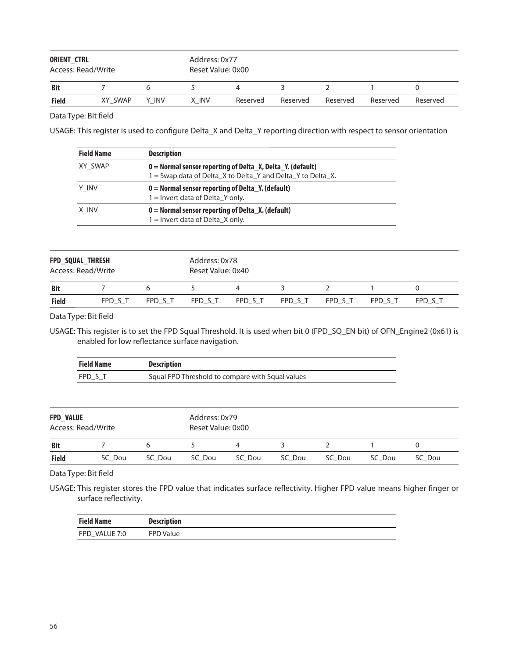| ORIENT_CTRL<br>Access: Read/Write |         | Address: 0x77<br>Reset Value: 0x00 |       |          |          |          |          |          |
|-----------------------------------|---------|------------------------------------|-------|----------|----------|----------|----------|----------|
| <b>Bit</b>                        |         | h                                  |       | 4        |          |          |          |          |
| <b>Field</b>                      | XY SWAP | Y INV                              | X INV | Reserved | Reserved | Reserved | Reserved | Reserved |

USAGE: This register is used to configure Delta\_X and Delta\_Y reporting direction with respect to sensor orientation

| <b>Field Name</b> | <b>Description</b>                                                                                                          |
|-------------------|-----------------------------------------------------------------------------------------------------------------------------|
| XY SWAP           | $0 =$ Normal sensor reporting of Delta X, Delta Y. (default)<br>1 = Swap data of Delta_X to Delta_Y and Delta_Y to Delta_X. |
| Y INV             | $0 =$ Normal sensor reporting of Delta Y. (default)<br>$1 =$ Invert data of Delta Y only.                                   |
| X INV             | $0 =$ Normal sensor reporting of Delta X. (default)<br>$1 =$ Invert data of Delta_X only.                                   |

| <b>FPD SQUAL THRESH</b><br>Access: Read/Write |         |         | Address: 0x78<br>Reset Value: 0x40 |         |         |         |         |         |  |
|-----------------------------------------------|---------|---------|------------------------------------|---------|---------|---------|---------|---------|--|
| <b>Bit</b>                                    |         |         |                                    |         |         |         |         |         |  |
| <b>Field</b>                                  | FPD S T | FPD S T | FPD S T                            | FPD S T | FPD S T | FPD S T | FPD S T | FPD S T |  |

Data Type: Bit field

USAGE: This register is to set the FPD Squal Threshold. It is used when bit 0 (FPD\_SQ\_EN bit) of OFN\_Engine2 (0x61) is enabled for low reflectance surface navigation.

| Field Name | <b>Description</b>                               |
|------------|--------------------------------------------------|
| FPD S T    | Squal FPD Threshold to compare with Squal values |

| <b>FPD VALUE</b><br>Access: Read/Write |        |        | Address: 0x79<br>Reset Value: 0x00 |        |        |        |        |        |  |
|----------------------------------------|--------|--------|------------------------------------|--------|--------|--------|--------|--------|--|
| <b>Bit</b>                             |        |        |                                    | 4      |        |        |        |        |  |
| <b>Field</b>                           | SC Dou | SC Dou | SC Dou                             | SC Dou | SC Dou | SC Dou | SC Dou | SC Dou |  |

Data Type: Bit field

USAGE: This register stores the FPD value that indicates surface reflectivity. Higher FPD value means higher finger or surface reflectivity.

| <b>Field Name</b> | <b>Description</b> |
|-------------------|--------------------|
| FPD VALUE 7:0     | <b>FPD Value</b>   |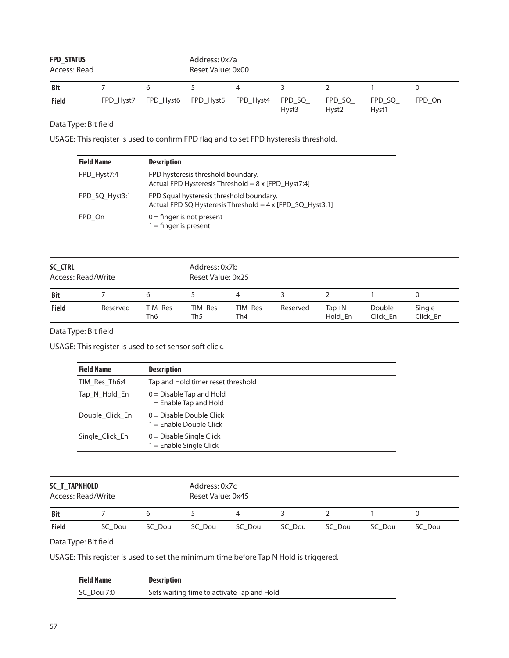| <b>FPD STATUS</b><br>Access: Read |           |   | Address: 0x7a<br>Reset Value: 0x00 |   |                             |                             |                 |        |
|-----------------------------------|-----------|---|------------------------------------|---|-----------------------------|-----------------------------|-----------------|--------|
| <b>Bit</b>                        |           | 6 |                                    | 4 |                             |                             |                 |        |
| <b>Field</b>                      | FPD Hyst7 |   | FPD_Hyst6 FPD_Hyst5 FPD_Hyst4      |   | FPD_SQ<br>Hyst <sub>3</sub> | FPD_SQ<br>Hyst <sub>2</sub> | FPD SQ<br>Hyst1 | FPD On |

USAGE: This register is used to confirm FPD flag and to set FPD hysteresis threshold.

| <b>Field Name</b> | <b>Description</b>                                                                                    |
|-------------------|-------------------------------------------------------------------------------------------------------|
| FPD Hyst7:4       | FPD hysteresis threshold boundary.<br>Actual FPD Hysteresis Threshold = 8 x [FPD_Hyst7:4]             |
| FPD SQ Hyst3:1    | FPD Squal hysteresis threshold boundary.<br>Actual FPD SQ Hysteresis Threshold = 4 x [FPD_SQ_Hyst3:1] |
| FPD On            | $0 =$ finger is not present<br>$1 =$ finger is present                                                |

| SC CTRL<br>Access: Read/Write |          | Address: 0x7b<br>Reset Value: 0x25 |                |                |          |                  |                    |                     |
|-------------------------------|----------|------------------------------------|----------------|----------------|----------|------------------|--------------------|---------------------|
| <b>Bit</b>                    |          |                                    |                | 4              |          |                  |                    | 0                   |
| <b>Field</b>                  | Reserved | TIM Res<br>Th6                     | TIM Res<br>Th5 | TIM Res<br>Th4 | Reserved | Tap+N<br>Hold En | Double<br>Click En | Single_<br>Click En |

Data Type: Bit field

USAGE: This register is used to set sensor soft click.

| <b>Field Name</b> | <b>Description</b>                                      |
|-------------------|---------------------------------------------------------|
| TIM Res Th6:4     | Tap and Hold timer reset threshold                      |
| Tap_N_Hold_En     | $0 =$ Disable Tap and Hold<br>$1 =$ Enable Tap and Hold |
| Double Click En   | $0 = Disable Double$ Click<br>$1 =$ Enable Double Click |
| Single Click En   | $0 =$ Disable Single Click<br>$1 =$ Enable Single Click |

| SC T TAPNHOLD<br>Access: Read/Write |        | Address: 0x7c<br>Reset Value: 0x45 |        |        |        |        |        |        |
|-------------------------------------|--------|------------------------------------|--------|--------|--------|--------|--------|--------|
| <b>Bit</b>                          |        |                                    |        | 4      |        |        |        |        |
| <b>Field</b>                        | SC Dou | SC Dou                             | SC Dou | SC Dou | SC Dou | SC Dou | SC Dou | SC Dou |

Data Type: Bit field

USAGE: This register is used to set the minimum time before Tap N Hold is triggered.

| <b>Field Name</b> | <b>Description</b>                         |
|-------------------|--------------------------------------------|
| SC Dou 7:0        | Sets waiting time to activate Tap and Hold |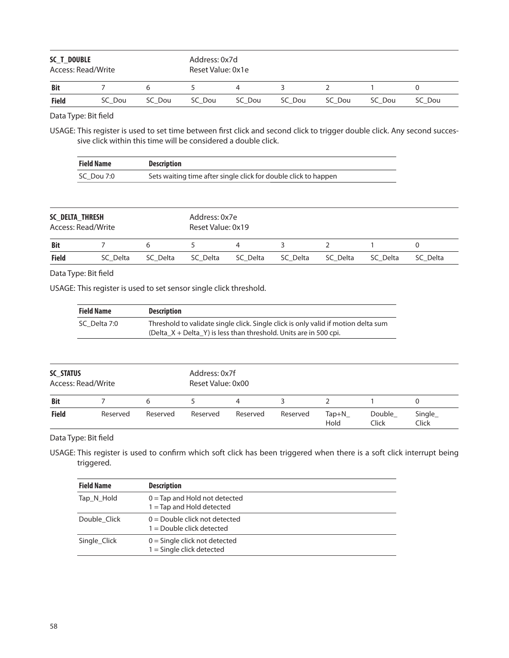| SC_T_DOUBLE<br>Access: Read/Write |        | Address: 0x7d<br>Reset Value: 0x1e |        |        |        |        |        |        |
|-----------------------------------|--------|------------------------------------|--------|--------|--------|--------|--------|--------|
| <b>Bit</b>                        |        | h                                  | $\sim$ | 4      |        |        |        |        |
| <b>Field</b>                      | SC Dou | SC Dou                             | SC Dou | SC Dou | SC Dou | SC Dou | SC Dou | SC Dou |

USAGE: This register is used to set time between first click and second click to trigger double click. Any second successive click within this time will be considered a double click.

| <b>Field Name</b> | <b>Description</b>                                              |
|-------------------|-----------------------------------------------------------------|
| SC Dou 7:0        | Sets waiting time after single click for double click to happen |

| SC DELTA THRESH<br>Access: Read/Write |          | Address: 0x7e<br>Reset Value: 0x19 |          |          |          |          |          |          |
|---------------------------------------|----------|------------------------------------|----------|----------|----------|----------|----------|----------|
| <b>Bit</b>                            |          |                                    |          | 4        |          |          |          |          |
| <b>Field</b>                          | SC Delta | SC Delta                           | SC Delta | SC Delta | SC Delta | SC Delta | SC Delta | SC Delta |

## Data Type: Bit field

USAGE: This register is used to set sensor single click threshold.

| <b>Field Name</b> | <b>Description</b>                                                                                                                                        |
|-------------------|-----------------------------------------------------------------------------------------------------------------------------------------------------------|
| SC Delta 7:0      | Threshold to validate single click. Single click is only valid if motion delta sum<br>(Delta $X +$ Delta Y) is less than threshold. Units are in 500 cpi. |

| SC STATUS<br>Access: Read/Write |          | Address: 0x7f<br>Reset Value: 0x00 |          |          |          |                 |                 |                  |
|---------------------------------|----------|------------------------------------|----------|----------|----------|-----------------|-----------------|------------------|
| <b>Bit</b>                      |          | 6                                  |          | 4        |          |                 |                 |                  |
| <b>Field</b>                    | Reserved | Reserved                           | Reserved | Reserved | Reserved | $Tap+N$<br>Hold | Double<br>Click | Single_<br>Click |

Data Type: Bit field

USAGE: This register is used to confirm which soft click has been triggered when there is a soft click interrupt being triggered.

| <b>Field Name</b> | <b>Description</b>                                             |
|-------------------|----------------------------------------------------------------|
| Tap N Hold        | $0 =$ Tap and Hold not detected<br>$1 =$ Tap and Hold detected |
| Double Click      | $0 =$ Double click not detected<br>$1 =$ Double click detected |
| Single Click      | $0 =$ Single click not detected<br>$1 =$ Single click detected |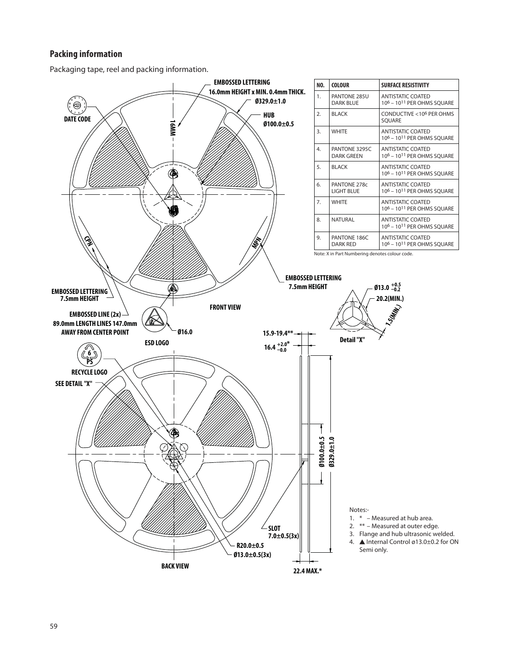## **Packing information**

Packaging tape, reel and packing information.